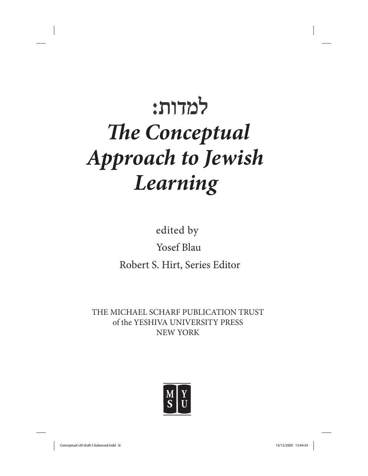# למדות: *The Conceptual Approach to Jewish Learning*

edited by Yosef Blau Robert S. Hirt, Series Editor

THE MICHAEL SCHARF PUBLICATION TRUST of the YESHIVA UNIVERSITY PRESS NEW YORK

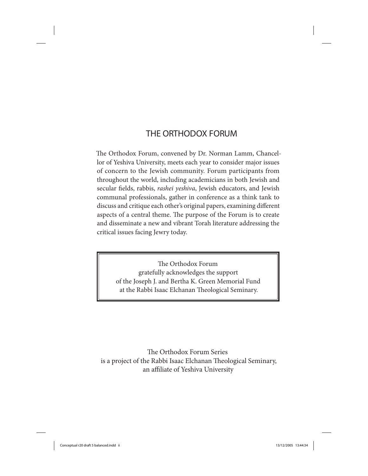### **THE ORTHODOX FORUM**

The Orthodox Forum, convened by Dr. Norman Lamm, Chancellor of Yeshiva University, meets each year to consider major issues of concern to the Jewish community. Forum participants from throughout the world, including academicians in both Jewish and secular fields, rabbis, *rashei yeshiva*, Jewish educators, and Jewish communal professionals, gather in conference as a think tank to discuss and critique each other's original papers, examining different aspects of a central theme. The purpose of the Forum is to create and disseminate a new and vibrant Torah literature addressing the critical issues facing Jewry today.

> The Orthodox Forum gratefully acknowledges the support of the Joseph J. and Bertha K. Green Memorial Fund at the Rabbi Isaac Elchanan Theological Seminary.

The Orthodox Forum Series is a project of the Rabbi Isaac Elchanan Theological Seminary, an affiliate of Yeshiva University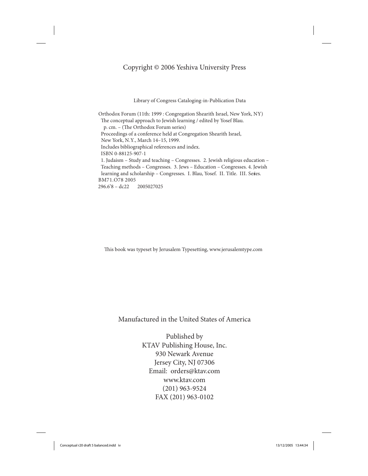### Copyright © 2006 Yeshiva University Press

Library of Congress Cataloging-in-Publication Data

Orthodox Forum (11th: 1999 : Congregation Shearith Israel, New York, NY) The conceptual approach to Jewish learning / edited by Yosef Blau. p. cm. – (The Orthodox Forum series) Proceedings of a conference held at Congregation Shearith Israel, New York, N.Y., March 14–15, 1999. Includes bibliographical references and index. ISBN 0-88125-907-1 1. Judaism – Study and teaching – Congresses. 2. Jewish religious education – Teaching methods – Congresses. 3. Jews – Education – Congresses. 4. Jewish learning and scholarship – Congresses. I. Blau, Yosef. II. Title. III. Series. BM71.O78 2005 296.6'8 – dc22 2005027025

This book was typeset by Jerusalem Typesetting, www.jerusalemtype.com

Manufactured in the United States of America

Published by KTAV Publishing House, Inc. 930 Newark Avenue Jersey City, NJ 07306 Email: orders@ktav.com www.ktav.com (201) 963-9524 FAX (201) 963-0102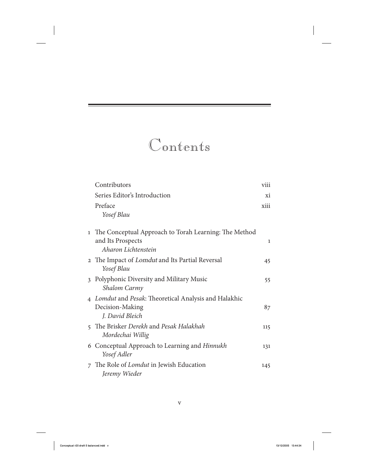### Contents

| Contributors                                                                                        | viii         |
|-----------------------------------------------------------------------------------------------------|--------------|
| Series Editor's Introduction                                                                        | xi           |
| Preface<br>Yosef Blau                                                                               | xiii         |
| 1 The Conceptual Approach to Torah Learning: The Method<br>and Its Prospects<br>Aharon Lichtenstein | $\mathbf{1}$ |
| 2 The Impact of <i>Lomdut</i> and Its Partial Reversal<br>Yosef Blau                                | 45           |
| 3 Polyphonic Diversity and Military Music<br>Shalom Carmy                                           | 55           |
| 4 Lomdut and Pesak: Theoretical Analysis and Halakhic<br>Decision-Making<br>J. David Bleich         | 87           |
| 5 The Brisker Derekh and Pesak Halakhah<br>Mordechai Willig                                         | 115          |
| 6 Conceptual Approach to Learning and Hinnukh<br>Yosef Adler                                        | 131          |
| 7 The Role of <i>Lomdut</i> in Jewish Education<br>Jeremy Wieder                                    | 145          |
|                                                                                                     |              |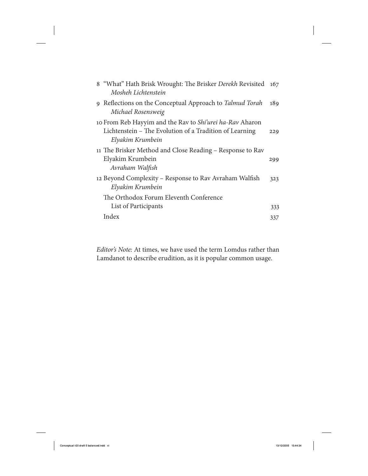| 8 "What" Hath Brisk Wrought: The Brisker Derekh Revisited<br>Mosheh Lichtenstein                                                        | 167 |
|-----------------------------------------------------------------------------------------------------------------------------------------|-----|
| 9 Reflections on the Conceptual Approach to Talmud Torah<br>Michael Rosensweig                                                          | 189 |
| 10 From Reb Hayyim and the Rav to Shi'urei ha-Rav Aharon<br>Lichtenstein – The Evolution of a Tradition of Learning<br>Elyakim Krumbein | 229 |
| 11 The Brisker Method and Close Reading – Response to Rav<br>Elyakim Krumbein<br>Avraham Walfish                                        | 299 |
| 12 Beyond Complexity – Response to Rav Avraham Walfish<br>Elyakim Krumbein                                                              | 323 |
| The Orthodox Forum Eleventh Conference                                                                                                  |     |
| List of Participants                                                                                                                    | 333 |
| Index                                                                                                                                   | 337 |

Editor's Note: At times, we have used the term Lomdus rather than Lamdanot to describe erudition, as it is popular common usage.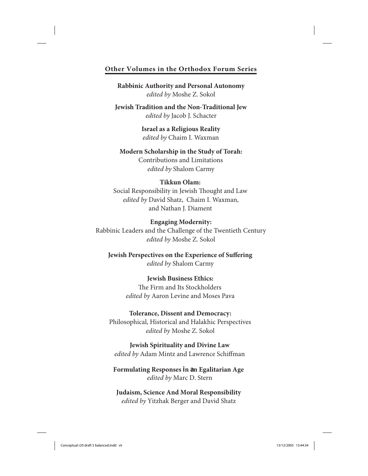### **Other Volumes in the Orthodox Forum Series**

**Rabbinic Authority and Personal Autonomy** *edited by* Moshe Z. Sokol

**Jewish Tradition and the Non-Traditional Jew** *edited by* Jacob J. Schacter

> **Israel as a Religious Reality** *edited by* Chaim I. Waxman

**Modern Scholarship in the Study of Torah:** Contributions and Limitations *edited by* Shalom Carmy

### **Tikkun Olam:**

Social Responsibility in Jewish Thought and Law *edited by* David Shatz, Chaim I. Waxman, and Nathan J. Diament

### **Engaging Modernity:**

Rabbinic Leaders and the Challenge of the Twentieth Century *edited by* Moshe Z. Sokol

**Jewish Perspectives on the Experience of Suffering** *edited by* Shalom Carmy

> **Jewish Business Ethics:** The Firm and Its Stockholders *edited by* Aaron Levine and Moses Pava

### **Tolerance, Dissent and Democracy:**

Philosophical, Historical and Halakhic Perspectives *edited by* Moshe Z. Sokol

**Jewish Spirituality and Divine Law** *edited by* Adam Mintz and Lawrence Schiffman

**Formulating Responses in an Egalitarian Age** *edited by* Marc D. Stern

**Judaism, Science And Moral Responsibility** *edited by* Yitzhak Berger and David Shatz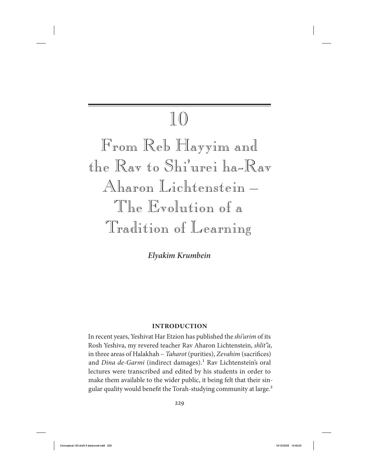## 10

From Reb Hayyim and the Rav to Shi'urei ha-Rav Aharon Lichtenstein – The Evolution of a Tradition of Learning

*Elyakim Krumbein*

### **Introduction**

In recent years, Yeshivat Har Etzion has published the shi'urim of its Rosh Yeshiva, my revered teacher Rav Aharon Lichtenstein, shlit"a, in three areas of Halakhah – Taharot (purities), Zevahim (sacrifices) and Dina de-Garmi (indirect damages).<sup>1</sup> Rav Lichtenstein's oral lectures were transcribed and edited by his students in order to make them available to the wider public, it being felt that their singular quality would benefit the Torah-studying community at large.<sup>2</sup>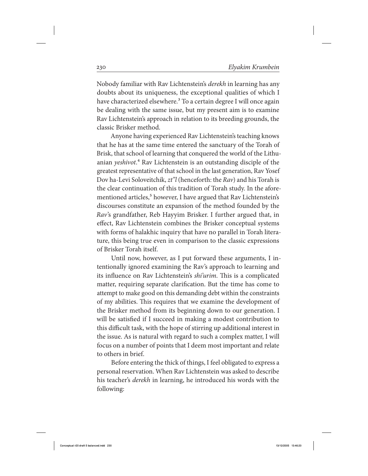Nobody familiar with Rav Lichtenstein's derekh in learning has any doubts about its uniqueness, the exceptional qualities of which I have characterized elsewhere.<sup>3</sup> To a certain degree I will once again be dealing with the same issue, but my present aim is to examine Rav Lichtenstein's approach in relation to its breeding grounds, the classic Brisker method.

Anyone having experienced Rav Lichtenstein's teaching knows that he has at the same time entered the sanctuary of the Torah of Brisk, that school of learning that conquered the world of the Lithuanian yeshivot.<sup>4</sup> Rav Lichtenstein is an outstanding disciple of the greatest representative of that school in the last generation, Rav Yosef Dov ha-Levi Soloveitchik, zt"l (henceforth: the Rav) and his Torah is the clear continuation of this tradition of Torah study. In the aforementioned articles,<sup>5</sup> however, I have argued that Rav Lichtenstein's discourses constitute an expansion of the method founded by the Rav's grandfather, Reb Hayyim Brisker. I further argued that, in effect, Rav Lichtenstein combines the Brisker conceptual systems with forms of halakhic inquiry that have no parallel in Torah literature, this being true even in comparison to the classic expressions of Brisker Torah itself.

Until now, however, as I put forward these arguments, I intentionally ignored examining the Rav 's approach to learning and its influence on Rav Lichtenstein's shi'urim. This is a complicated matter, requiring separate clarification. But the time has come to attempt to make good on this demanding debt within the constraints of my abilities. This requires that we examine the development of the Brisker method from its beginning down to our generation. I will be satisfied if I succeed in making a modest contribution to this difficult task, with the hope of stirring up additional interest in the issue. As is natural with regard to such a complex matter, I will focus on a number of points that I deem most important and relate to others in brief.

Before entering the thick of things, I feel obligated to express a personal reservation. When Rav Lichtenstein was asked to describe his teacher's derekh in learning, he introduced his words with the following: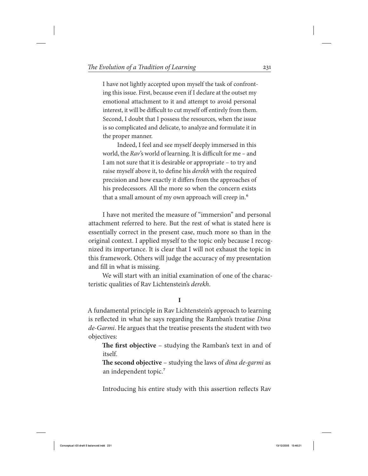I have not lightly accepted upon myself the task of confronting this issue. First, because even if I declare at the outset my emotional attachment to it and attempt to avoid personal interest, it will be difficult to cut myself off entirely from them. Second, I doubt that I possess the resources, when the issue is so complicated and delicate, to analyze and formulate it in the proper manner.

Indeed, I feel and see myself deeply immersed in this world, the Rav's world of learning. It is difficult for me – and I am not sure that it is desirable or appropriate – to try and raise myself above it, to define his derekh with the required precision and how exactly it differs from the approaches of his predecessors. All the more so when the concern exists that a small amount of my own approach will creep in.<sup>6</sup>

I have not merited the measure of "immersion" and personal attachment referred to here. But the rest of what is stated here is essentially correct in the present case, much more so than in the original context. I applied myself to the topic only because I recognized its importance. It is clear that I will not exhaust the topic in this framework. Others will judge the accuracy of my presentation and fill in what is missing.

We will start with an initial examination of one of the characteristic qualities of Rav Lichtenstein's derekh.

### **I**

A fundamental principle in Rav Lichtenstein's approach to learning is reflected in what he says regarding the Ramban's treatise Dina de-Garmi. He argues that the treatise presents the student with two objectives:

**The first objective** – studying the Ramban's text in and of itself.

**The second objective** – studying the laws of dina de-garmi as an independent topic.<sup>7</sup>

Introducing his entire study with this assertion reflects Rav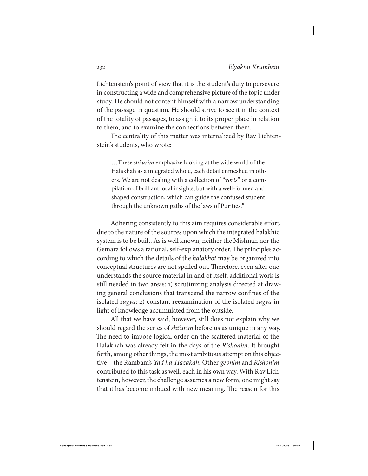Lichtenstein's point of view that it is the student's duty to persevere in constructing a wide and comprehensive picture of the topic under study. He should not content himself with a narrow understanding of the passage in question. He should strive to see it in the context of the totality of passages, to assign it to its proper place in relation to them, and to examine the connections between them.

The centrality of this matter was internalized by Rav Lichtenstein's students, who wrote:

 …These shi'urim emphasize looking at the wide world of the Halakhah as a integrated whole, each detail enmeshed in others. We are not dealing with a collection of "*vorts*" or a compilation of brilliant local insights, but with a well-formed and shaped construction, which can guide the confused student through the unknown paths of the laws of Purities.<sup>8</sup>

Adhering consistently to this aim requires considerable effort, due to the nature of the sources upon which the integrated halakhic system is to be built. As is well known, neither the Mishnah nor the Gemara follows a rational, self-explanatory order. The principles according to which the details of the halakhot may be organized into conceptual structures are not spelled out. Therefore, even after one understands the source material in and of itself, additional work is still needed in two areas: 1) scrutinizing analysis directed at drawing general conclusions that transcend the narrow confines of the isolated sugya; 2) constant reexamination of the isolated sugya in light of knowledge accumulated from the outside.

All that we have said, however, still does not explain why we should regard the series of *shi'urim* before us as unique in any way. The need to impose logical order on the scattered material of the Halakhah was already felt in the days of the Rishonim. It brought forth, among other things, the most ambitious attempt on this objective – the Rambam's Yad ha-Hazakah. Other ge'onim and Rishonim contributed to this task as well, each in his own way. With Rav Lichtenstein, however, the challenge assumes a new form; one might say that it has become imbued with new meaning. The reason for this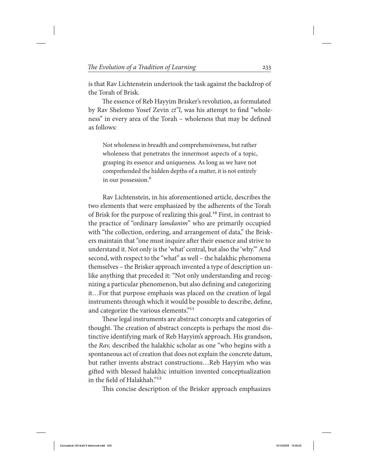is that Rav Lichtenstein undertook the task against the backdrop of the Torah of Brisk.

The essence of Reb Hayyim Brisker's revolution, as formulated by Rav Shelomo Yosef Zevin zt"l, was his attempt to find "wholeness" in every area of the Torah – wholeness that may be defined as follows:

Not wholeness in breadth and comprehensiveness, but rather wholeness that penetrates the innermost aspects of a topic, grasping its essence and uniqueness. As long as we have not comprehended the hidden depths of a matter, it is not entirely in our possession.<sup>9</sup>

Rav Lichtenstein, in his aforementioned article, describes the two elements that were emphasized by the adherents of the Torah of Brisk for the purpose of realizing this goal.<sup>10</sup> First, in contrast to the practice of "ordinary lamdanim" who are primarily occupied with "the collection, ordering, and arrangement of data," the Briskers maintain that "one must inquire after their essence and strive to understand it. Not only is the 'what' central, but also the 'why.'" And second, with respect to the "what" as well – the halakhic phenomena themselves – the Brisker approach invented a type of description unlike anything that preceded it: "Not only understanding and recognizing a particular phenomenon, but also defining and categorizing it…For that purpose emphasis was placed on the creation of legal instruments through which it would be possible to describe, define, and categorize the various elements."<sup>11</sup>

These legal instruments are abstract concepts and categories of thought. The creation of abstract concepts is perhaps the most distinctive identifying mark of Reb Hayyim's approach. His grandson, the Rav, described the halakhic scholar as one "who begins with a spontaneous act of creation that does not explain the concrete datum, but rather invents abstract constructions…Reb Hayyim who was gifted with blessed halakhic intuition invented conceptualization in the field of Halakhah."12

This concise description of the Brisker approach emphasizes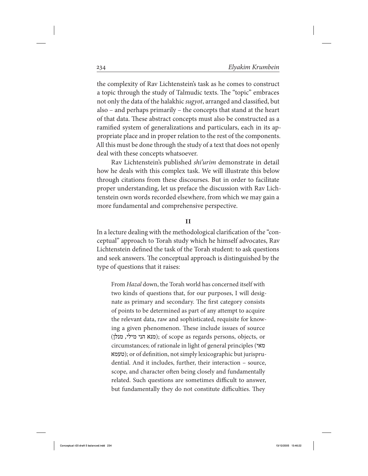the complexity of Rav Lichtenstein's task as he comes to construct a topic through the study of Talmudic texts. The "topic" embraces not only the data of the halakhic sugyot, arranged and classified, but also – and perhaps primarily – the concepts that stand at the heart of that data. These abstract concepts must also be constructed as a ramified system of generalizations and particulars, each in its appropriate place and in proper relation to the rest of the components. All this must be done through the study of a text that does not openly deal with these concepts whatsoever.

Rav Lichtenstein's published *shi'urim* demonstrate in detail how he deals with this complex task. We will illustrate this below through citations from these discourses. But in order to facilitate proper understanding, let us preface the discussion with Rav Lichtenstein own words recorded elsewhere, from which we may gain a more fundamental and comprehensive perspective.

### **II**

In a lecture dealing with the methodological clarification of the "conceptual" approach to Torah study which he himself advocates, Rav Lichtenstein defined the task of the Torah student: to ask questions and seek answers. The conceptual approach is distinguished by the type of questions that it raises:

From Hazal down, the Torah world has concerned itself with two kinds of questions that, for our purposes, I will designate as primary and secondary. The first category consists of points to be determined as part of any attempt to acquire the relevant data, raw and sophisticated, requisite for knowing a given phenomenon. These include issues of source (מנלן ,מילי הני מנא ;(of scope as regards persons, objects, or circumstances; of rationale in light of general principles (מאי טעמא); or of definition, not simply lexicographic but jurisprudential. And it includes, further, their interaction – source, scope, and character often being closely and fundamentally related. Such questions are sometimes difficult to answer, but fundamentally they do not constitute difficulties. They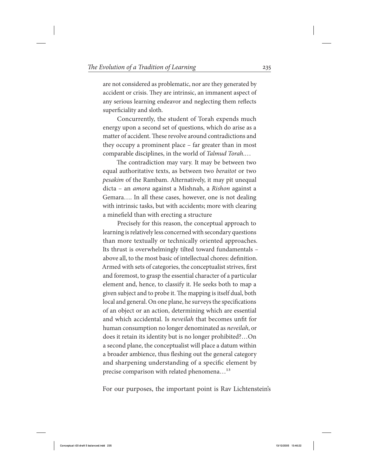are not considered as problematic, nor are they generated by accident or crisis. They are intrinsic, an immanent aspect of any serious learning endeavor and neglecting them reflects superficiality and sloth.

Concurrently, the student of Torah expends much energy upon a second set of questions, which do arise as a matter of accident. These revolve around contradictions and they occupy a prominent place – far greater than in most comparable disciplines, in the world of Talmud Torah.…

The contradiction may vary. It may be between two equal authoritative texts, as between two beraitot or two pesakim of the Rambam. Alternatively, it may pit unequal dicta – an amora against a Mishnah, a Rishon against a Gemara…. In all these cases, however, one is not dealing with intrinsic tasks, but with accidents; more with clearing a minefield than with erecting a structure

Precisely for this reason, the conceptual approach to learning is relatively less concerned with secondary questions than more textually or technically oriented approaches. Its thrust is overwhelmingly tilted toward fundamentals – above all, to the most basic of intellectual chores: definition. Armed with sets of categories, the conceptualist strives, first and foremost, to grasp the essential character of a particular element and, hence, to classify it. He seeks both to map a given subject and to probe it. The mapping is itself dual, both local and general. On one plane, he surveys the specifications of an object or an action, determining which are essential and which accidental. Is neveilah that becomes unfit for human consumption no longer denominated as neveilah, or does it retain its identity but is no longer prohibited?…On a second plane, the conceptualist will place a datum within a broader ambience, thus fleshing out the general category and sharpening understanding of a specific element by precise comparison with related phenomena...<sup>13</sup>

For our purposes, the important point is Rav Lichtenstein's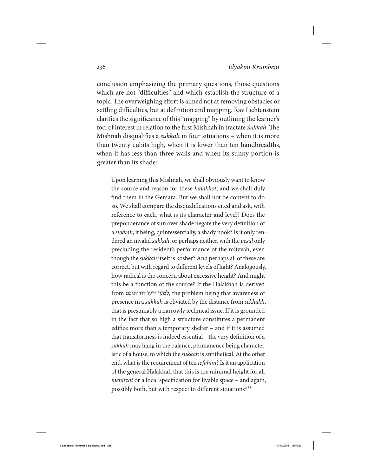conclusion emphasizing the primary questions, those questions which are not "difficulties" and which establish the structure of a topic. The overweighing effort is aimed not at removing obstacles or settling difficulties, but at definition and mapping. Rav Lichtenstein clarifies the significance of this "mapping" by outlining the learner's foci of interest in relation to the first Mishnah in tractate Sukkah. The Mishnah disqualifies a sukkah in four situations – when it is more than twenty cubits high, when it is lower than ten handbreadths, when it has less than three walls and when its sunny portion is greater than its shade:

Upon learning this Mishnah, we shall obviously want to know the source and reason for these halakhot; and we shall duly find them in the Gemara. But we shall not be content to do so. We shall compare the disqualifications cited and ask, with reference to each, what is its character and level? Does the preponderance of sun over shade negate the very definition of a sukkah, it being, quintessentially, a shady nook? Is it only rendered an invalid *sukkah*; or perhaps neither, with the *pesul* only precluding the resident's performance of the mitzvah, even though the *sukkah* itself is kosher? And perhaps all of these are correct, but with regard to different levels of light? Analogously, how radical is the concern about excessive height? And might this be a function of the source? If the Halakhah is derived from דורותיכם ידעו למען, the problem being that awareness of presence in a sukkah is obviated by the distance from sekhakh, that is presumably a narrowly technical issue. If it is grounded in the fact that so high a structure constitutes a permanent edifice more than a temporary shelter – and if it is assumed that transitoriness is indeed essential – the very definition of a sukkah may hang in the balance, permanence being characteristic of a house, to which the sukkah is antithetical. At the other end, what is the requirement of ten *tefahim*? Is it an application of the general Halakhah that this is the minimal height for all mehitzot or a local specification for livable space – and again, possibly both, but with respect to different situations?<sup>14</sup>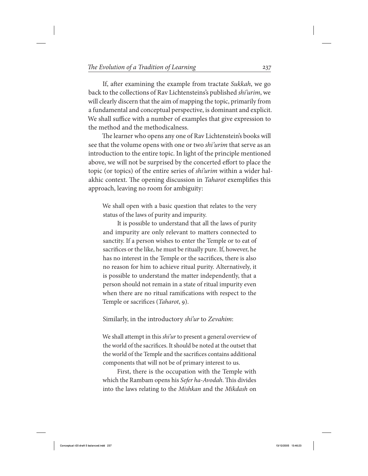If, after examining the example from tractate Sukkah, we go back to the collections of Rav Lichtensteins's published shi'urim, we will clearly discern that the aim of mapping the topic, primarily from a fundamental and conceptual perspective, is dominant and explicit. We shall suffice with a number of examples that give expression to the method and the methodicalness.

The learner who opens any one of Rav Lichtenstein's books will see that the volume opens with one or two shi'urim that serve as an introduction to the entire topic. In light of the principle mentioned above, we will not be surprised by the concerted effort to place the topic (or topics) of the entire series of shi'urim within a wider halakhic context. The opening discussion in Taharot exemplifies this approach, leaving no room for ambiguity:

We shall open with a basic question that relates to the very status of the laws of purity and impurity.

It is possible to understand that all the laws of purity and impurity are only relevant to matters connected to sanctity. If a person wishes to enter the Temple or to eat of sacrifices or the like, he must be ritually pure. If, however, he has no interest in the Temple or the sacrifices, there is also no reason for him to achieve ritual purity. Alternatively, it is possible to understand the matter independently, that a person should not remain in a state of ritual impurity even when there are no ritual ramifications with respect to the Temple or sacrifices (Taharot, 9).

Similarly, in the introductory shi'ur to Zevahim:

We shall attempt in this *shi'ur* to present a general overview of the world of the sacrifices. It should be noted at the outset that the world of the Temple and the sacrifices contains additional components that will not be of primary interest to us.

First, there is the occupation with the Temple with which the Rambam opens his Sefer ha-Avodah. This divides into the laws relating to the Mishkan and the Mikdash on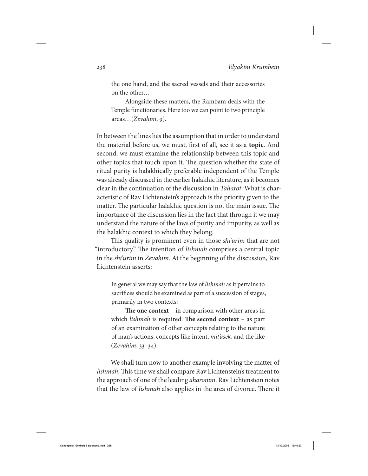the one hand, and the sacred vessels and their accessories on the other…

Alongside these matters, the Rambam deals with the Temple functionaries. Here too we can point to two principle areas…(Zevahim, 9).

In between the lines lies the assumption that in order to understand the material before us, we must, first of all, see it as a **topic**. And second, we must examine the relationship between this topic and other topics that touch upon it. The question whether the state of ritual purity is halakhically preferable independent of the Temple was already discussed in the earlier halakhic literature, as it becomes clear in the continuation of the discussion in Taharot. What is characteristic of Rav Lichtenstein's approach is the priority given to the matter. The particular halakhic question is not the main issue. The importance of the discussion lies in the fact that through it we may understand the nature of the laws of purity and impurity, as well as the halakhic context to which they belong.

This quality is prominent even in those *shi'urim* that are not "introductory." The intention of lishmah comprises a central topic in the shi'urim in Zevahim. At the beginning of the discussion, Rav Lichtenstein asserts:

In general we may say that the law of *lishmah* as it pertains to sacrifices should be examined as part of a succession of stages, primarily in two contexts:

**The one context** – in comparison with other areas in which lishmah is required. **The second context** – as part of an examination of other concepts relating to the nature of man's actions, concepts like intent, mit'asek, and the like (Zevahim, 33–34).

We shall turn now to another example involving the matter of lishmah. This time we shall compare Rav Lichtenstein's treatment to the approach of one of the leading aharonim. Rav Lichtenstein notes that the law of lishmah also applies in the area of divorce. There it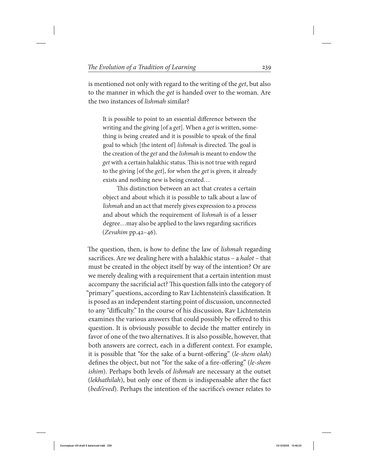is mentioned not only with regard to the writing of the *get*, but also to the manner in which the get is handed over to the woman. Are the two instances of lishmah similar?

It is possible to point to an essential difference between the writing and the giving [of a *get*]. When a *get* is written, something is being created and it is possible to speak of the final goal to which [the intent of] lishmah is directed. The goal is the creation of the *get* and the *lishmah* is meant to endow the get with a certain halakhic status. This is not true with regard to the giving [of the get], for when the get is given, it already exists and nothing new is being created…

This distinction between an act that creates a certain object and about which it is possible to talk about a law of lishmah and an act that merely gives expression to a process and about which the requirement of lishmah is of a lesser degree…may also be applied to the laws regarding sacrifices (Zevahim pp.42–46).

The question, then, is how to define the law of *lishmah* regarding sacrifices. Are we dealing here with a halakhic status – a halot – that must be created in the object itself by way of the intention? Or are we merely dealing with a requirement that a certain intention must accompany the sacrificial act? This question falls into the category of "primary" questions, according to Rav Lichtenstein's classification. It is posed as an independent starting point of discussion, unconnected to any "difficulty." In the course of his discussion, Rav Lichtenstein examines the various answers that could possibly be offered to this question. It is obviously possible to decide the matter entirely in favor of one of the two alternatives. It is also possible, however, that both answers are correct, each in a different context. For example, it is possible that "for the sake of a burnt-offering" (le-shem olah) defines the object, but not "for the sake of a fire-offering" (le-shem ishim). Perhaps both levels of *lishmah* are necessary at the outset (lekhathilah), but only one of them is indispensable after the fact (bedi'eved). Perhaps the intention of the sacrifice's owner relates to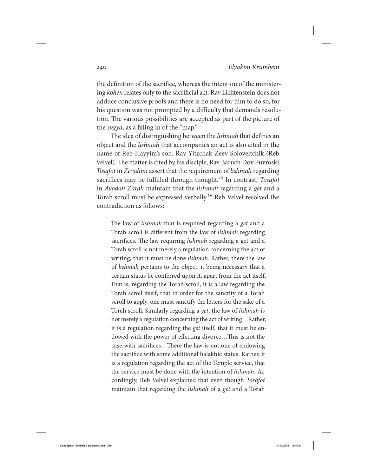the definition of the sacrifice, whereas the intention of the ministering kohen relates only to the sacrificial act. Rav Lichtenstein does not adduce conclusive proofs and there is no need for him to do so, for his question was not prompted by a difficulty that demands resolution. The various possibilities are accepted as part of the picture of the sugya, as a filling in of the "map."

The idea of distinguishing between the lishmah that defines an object and the lishmah that accompanies an act is also cited in the name of Reb Hayyim's son, Rav Yitzchak Zeev Soloveitchik (Reb Velvel). The matter is cited by his disciple, Rav Baruch Dov Puvroski. Tosafot in Zevahim assert that the requirement of lishmah regarding sacrifices may be fulfilled through thought.<sup>15</sup> In contrast, Tosafot in Avodah Zarah maintain that the lishmah regarding a get and a Torah scroll must be expressed verbally.<sup>16</sup> Reb Velvel resolved the contradiction as follows:

The law of *lishmah* that is required regarding a *get* and a Torah scroll is different from the law of lishmah regarding sacrifices. The law requiring lishmah regarding a get and a Torah scroll is not merely a regulation concerning the act of writing, that it must be done *lishmah*. Rather, there the law of lishmah pertains to the object, it being necessary that a certain status be conferred upon it, apart from the act itself. That is, regarding the Torah scroll, it is a law regarding the Torah scroll itself, that in order for the sanctity of a Torah scroll to apply, one must sanctify the letters for the sake of a Torah scroll. Similarly regarding a get, the law of lishmah is not merely a regulation concerning the act of writing…Rather, it is a regulation regarding the get itself, that it must be endowed with the power of effecting divorce…This is not the case with sacrifices…There the law is not one of endowing the sacrifice with some additional halakhic status. Rather, it is a regulation regarding the act of the Temple service, that the service must be done with the intention of lishmah. Accordingly, Reb Velvel explained that even though Tosafot maintain that regarding the *lishmah* of a *get* and a Torah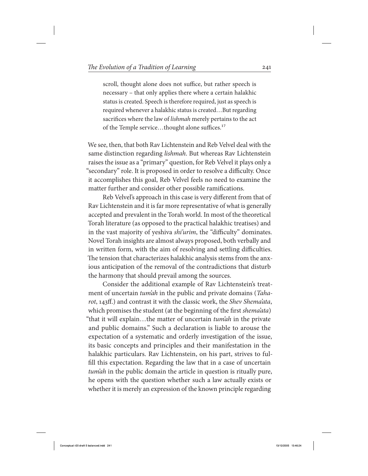scroll, thought alone does not suffice, but rather speech is necessary – that only applies there where a certain halakhic status is created. Speech is therefore required, just as speech is required whenever a halakhic status is created…But regarding sacrifices where the law of lishmah merely pertains to the act of the Temple service...thought alone suffices.<sup>17</sup>

We see, then, that both Rav Lichtenstein and Reb Velvel deal with the same distinction regarding lishmah. But whereas Rav Lichtenstein raises the issue as a "primary" question, for Reb Velvel it plays only a "secondary" role. It is proposed in order to resolve a difficulty. Once it accomplishes this goal, Reb Velvel feels no need to examine the matter further and consider other possible ramifications.

Reb Velvel's approach in this case is very different from that of Rav Lichtenstein and it is far more representative of what is generally accepted and prevalent in the Torah world. In most of the theoretical Torah literature (as opposed to the practical halakhic treatises) and in the vast majority of yeshiva shi'urim, the "difficulty" dominates. Novel Torah insights are almost always proposed, both verbally and in written form, with the aim of resolving and settling difficulties. The tension that characterizes halakhic analysis stems from the anxious anticipation of the removal of the contradictions that disturb the harmony that should prevail among the sources.

Consider the additional example of Rav Lichtenstein's treatment of uncertain *tum'ah* in the public and private domains (*Taha*rot, 143ff.) and contrast it with the classic work, the Shev Shema'ata, which promises the student (at the beginning of the first shema'ata) "that it will explain…the matter of uncertain tum'ah in the private and public domains." Such a declaration is liable to arouse the expectation of a systematic and orderly investigation of the issue, its basic concepts and principles and their manifestation in the halakhic particulars. Rav Lichtenstein, on his part, strives to fulfill this expectation. Regarding the law that in a case of uncertain tum'ah in the public domain the article in question is ritually pure, he opens with the question whether such a law actually exists or whether it is merely an expression of the known principle regarding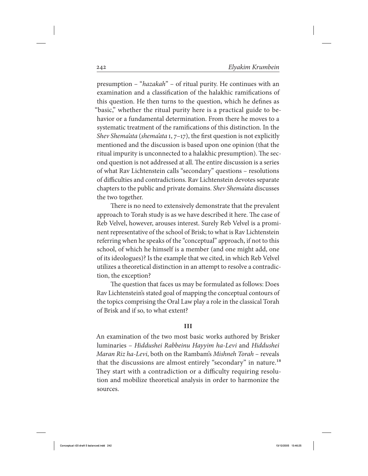presumption – "hazakah" – of ritual purity. He continues with an examination and a classification of the halakhic ramifications of this question. He then turns to the question, which he defines as "basic," whether the ritual purity here is a practical guide to behavior or a fundamental determination. From there he moves to a systematic treatment of the ramifications of this distinction. In the Shev Shema'ata (shema'ata 1,  $7-17$ ), the first question is not explicitly mentioned and the discussion is based upon one opinion (that the ritual impurity is unconnected to a halakhic presumption). The second question is not addressed at all. The entire discussion is a series of what Rav Lichtenstein calls "secondary" questions – resolutions of difficulties and contradictions. Rav Lichtenstein devotes separate chapters to the public and private domains. Shev Shema'ata discusses the two together.

There is no need to extensively demonstrate that the prevalent approach to Torah study is as we have described it here. The case of Reb Velvel, however, arouses interest. Surely Reb Velvel is a prominent representative of the school of Brisk; to what is Rav Lichtenstein referring when he speaks of the "conceptual" approach, if not to this school, of which he himself is a member (and one might add, one of its ideologues)? Is the example that we cited, in which Reb Velvel utilizes a theoretical distinction in an attempt to resolve a contradiction, the exception?

The question that faces us may be formulated as follows: Does Rav Lichtenstein's stated goal of mapping the conceptual contours of the topics comprising the Oral Law play a role in the classical Torah of Brisk and if so, to what extent?

### **iii**

An examination of the two most basic works authored by Brisker luminaries – Hiddushei Rabbeinu Hayyim ha-Levi and Hiddushei Maran Riz ha-Levi, both on the Rambam's Mishneh Torah – reveals that the discussions are almost entirely "secondary" in nature.<sup>18</sup> They start with a contradiction or a difficulty requiring resolution and mobilize theoretical analysis in order to harmonize the sources.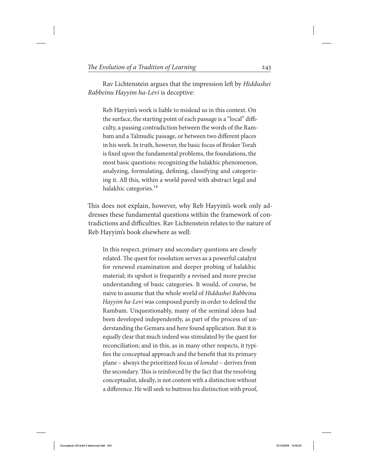Rav Lichtenstein argues that the impression left by Hiddushei Rabbeinu Hayyim ha-Levi is deceptive:

Reb Hayyim's work is liable to mislead us in this context. On the surface, the starting point of each passage is a "local" difficulty, a passing contradiction between the words of the Rambam and a Talmudic passage, or between two different places in his work. In truth, however, the basic focus of Brisker Torah is fixed upon the fundamental problems, the foundations, the most basic questions: recognizing the halakhic phenomenon, analyzing, formulating, defining, classifying and categorizing it. All this, within a world paved with abstract legal and halakhic categories.<sup>19</sup>

This does not explain, however, why Reb Hayyim's work only addresses these fundamental questions within the framework of contradictions and difficulties. Rav Lichtenstein relates to the nature of Reb Hayyim's book elsewhere as well:

In this respect, primary and secondary questions are closely related. The quest for resolution serves as a powerful catalyst for renewed examination and deeper probing of halakhic material; its upshot is frequently a revised and more precise understanding of basic categories. It would, of course, be naive to assume that the whole world of Hiddushei Rabbeinu Hayyim ha-Levi was composed purely in order to defend the Rambam. Unquestionably, many of the seminal ideas had been developed independently, as part of the process of understanding the Gemara and here found application. But it is equally clear that much indeed was stimulated by the quest for reconciliation; and in this, as in many other respects, it typifies the conceptual approach and the benefit that its primary plane – always the prioritized focus of lomdut – derives from the secondary. This is reinforced by the fact that the resolving conceptualist, ideally, is not content with a distinction without a difference. He will seek to buttress his distinction with proof,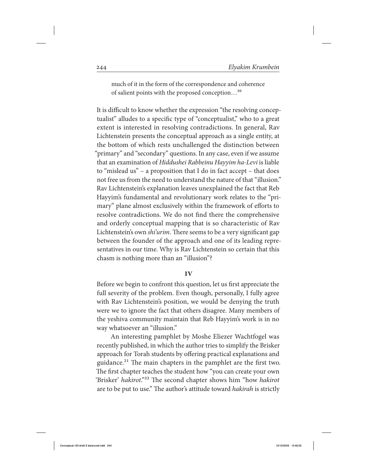much of it in the form of the correspondence and coherence of salient points with the proposed conception…20

It is difficult to know whether the expression "the resolving conceptualist" alludes to a specific type of "conceptualist," who to a great extent is interested in resolving contradictions. In general, Rav Lichtenstein presents the conceptual approach as a single entity, at the bottom of which rests unchallenged the distinction between "primary" and "secondary" questions. In any case, even if we assume that an examination of Hiddushei Rabbeinu Hayyim ha-Levi is liable to "mislead us" – a proposition that I do in fact accept – that does not free us from the need to understand the nature of that "illusion." Rav Lichtenstein's explanation leaves unexplained the fact that Reb Hayyim's fundamental and revolutionary work relates to the "primary" plane almost exclusively within the framework of efforts to resolve contradictions. We do not find there the comprehensive and orderly conceptual mapping that is so characteristic of Rav Lichtenstein's own *shi'urim*. There seems to be a very significant gap between the founder of the approach and one of its leading representatives in our time. Why is Rav Lichtenstein so certain that this chasm is nothing more than an "illusion"?

### **iv**

Before we begin to confront this question, let us first appreciate the full severity of the problem. Even though, personally, I fully agree with Rav Lichtenstein's position, we would be denying the truth were we to ignore the fact that others disagree. Many members of the yeshiva community maintain that Reb Hayyim's work is in no way whatsoever an "illusion."

An interesting pamphlet by Moshe Eliezer Wachtfogel was recently published, in which the author tries to simplify the Brisker approach for Torah students by offering practical explanations and guidance.<sup>21</sup> The main chapters in the pamphlet are the first two. The first chapter teaches the student how "you can create your own 'Brisker' hakirot."<sup>22</sup> The second chapter shows him "how hakirot are to be put to use." The author's attitude toward hakirah is strictly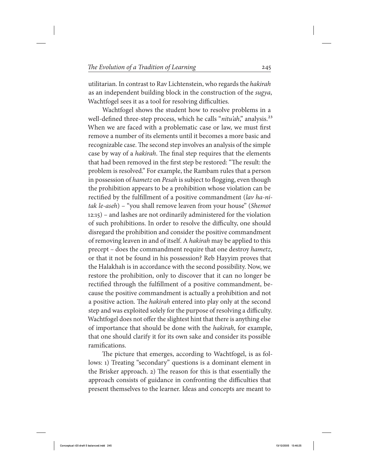utilitarian. In contrast to Rav Lichtenstein, who regards the hakirah as an independent building block in the construction of the sugya, Wachtfogel sees it as a tool for resolving difficulties.

Wachtfogel shows the student how to resolve problems in a well-defined three-step process, which he calls "nitu'ah," analysis.<sup>23</sup> When we are faced with a problematic case or law, we must first remove a number of its elements until it becomes a more basic and recognizable case. The second step involves an analysis of the simple case by way of a hakirah. The final step requires that the elements that had been removed in the first step be restored: "The result: the problem is resolved." For example, the Rambam rules that a person in possession of hametz on Pesah is subject to flogging, even though the prohibition appears to be a prohibition whose violation can be rectified by the fulfillment of a positive commandment (lav ha-nitak le-aseh) – "you shall remove leaven from your house" (Shemot 12:15) – and lashes are not ordinarily administered for the violation of such prohibitions. In order to resolve the difficulty, one should disregard the prohibition and consider the positive commandment of removing leaven in and of itself. A hakirah may be applied to this precept – does the commandment require that one destroy hametz, or that it not be found in his possession? Reb Hayyim proves that the Halakhah is in accordance with the second possibility. Now, we restore the prohibition, only to discover that it can no longer be rectified through the fulfillment of a positive commandment, because the positive commandment is actually a prohibition and not a positive action. The hakirah entered into play only at the second step and was exploited solely for the purpose of resolving a difficulty. Wachtfogel does not offer the slightest hint that there is anything else of importance that should be done with the hakirah, for example, that one should clarify it for its own sake and consider its possible ramifications.

The picture that emerges, according to Wachtfogel, is as follows: 1) Treating "secondary" questions is a dominant element in the Brisker approach. 2) The reason for this is that essentially the approach consists of guidance in confronting the difficulties that present themselves to the learner. Ideas and concepts are meant to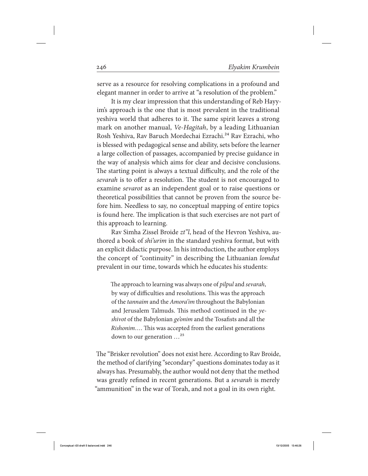serve as a resource for resolving complications in a profound and elegant manner in order to arrive at "a resolution of the problem."

It is my clear impression that this understanding of Reb Hayyim's approach is the one that is most prevalent in the traditional yeshiva world that adheres to it. The same spirit leaves a strong mark on another manual, Ve-Hagitah, by a leading Lithuanian Rosh Yeshiva, Rav Baruch Mordechai Ezrachi.<sup>24</sup> Rav Ezrachi, who is blessed with pedagogical sense and ability, sets before the learner a large collection of passages, accompanied by precise guidance in the way of analysis which aims for clear and decisive conclusions. The starting point is always a textual difficulty, and the role of the sevarah is to offer a resolution. The student is not encouraged to examine sevarot as an independent goal or to raise questions or theoretical possibilities that cannot be proven from the source before him. Needless to say, no conceptual mapping of entire topics is found here. The implication is that such exercises are not part of this approach to learning.

Rav Simha Zissel Broide zt"l, head of the Hevron Yeshiva, authored a book of shi'urim in the standard yeshiva format, but with an explicit didactic purpose. In his introduction, the author employs the concept of "continuity" in describing the Lithuanian lomdut prevalent in our time, towards which he educates his students:

The approach to learning was always one of pilpul and sevarah, by way of difficulties and resolutions. This was the approach of the tannaim and the Amora'im throughout the Babylonian and Jerusalem Talmuds. This method continued in the yeshivot of the Babylonian ge'onim and the Tosafists and all the Rishonim…. This was accepted from the earliest generations down to our generation …25

The "Brisker revolution" does not exist here. According to Rav Broide, the method of clarifying "secondary" questions dominates today as it always has. Presumably, the author would not deny that the method was greatly refined in recent generations. But a sevarah is merely "ammunition" in the war of Torah, and not a goal in its own right.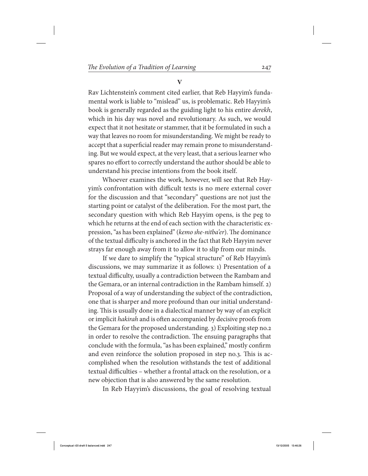**V**

Rav Lichtenstein's comment cited earlier, that Reb Hayyim's fundamental work is liable to "mislead" us, is problematic. Reb Hayyim's book is generally regarded as the guiding light to his entire derekh, which in his day was novel and revolutionary. As such, we would expect that it not hesitate or stammer, that it be formulated in such a way that leaves no room for misunderstanding. We might be ready to accept that a superficial reader may remain prone to misunderstanding. But we would expect, at the very least, that a serious learner who spares no effort to correctly understand the author should be able to understand his precise intentions from the book itself.

Whoever examines the work, however, will see that Reb Hayyim's confrontation with difficult texts is no mere external cover for the discussion and that "secondary" questions are not just the starting point or catalyst of the deliberation. For the most part, the secondary question with which Reb Hayyim opens, is the peg to which he returns at the end of each section with the characteristic expression, "as has been explained" (kemo she-nitba'er). The dominance of the textual difficulty is anchored in the fact that Reb Hayyim never strays far enough away from it to allow it to slip from our minds.

If we dare to simplify the "typical structure" of Reb Hayyim's discussions, we may summarize it as follows: 1) Presentation of a textual difficulty, usually a contradiction between the Rambam and the Gemara, or an internal contradiction in the Rambam himself. 2) Proposal of a way of understanding the subject of the contradiction, one that is sharper and more profound than our initial understanding. This is usually done in a dialectical manner by way of an explicit or implicit hakirah and is often accompanied by decisive proofs from the Gemara for the proposed understanding. 3) Exploiting step no.2 in order to resolve the contradiction. The ensuing paragraphs that conclude with the formula, "as has been explained," mostly confirm and even reinforce the solution proposed in step no.3. This is accomplished when the resolution withstands the test of additional textual difficulties – whether a frontal attack on the resolution, or a new objection that is also answered by the same resolution.

In Reb Hayyim's discussions, the goal of resolving textual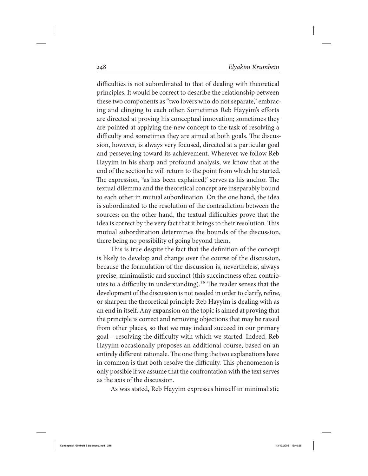difficulties is not subordinated to that of dealing with theoretical principles. It would be correct to describe the relationship between these two components as "two lovers who do not separate," embracing and clinging to each other. Sometimes Reb Hayyim's efforts are directed at proving his conceptual innovation; sometimes they are pointed at applying the new concept to the task of resolving a difficulty and sometimes they are aimed at both goals. The discussion, however, is always very focused, directed at a particular goal and persevering toward its achievement. Wherever we follow Reb Hayyim in his sharp and profound analysis, we know that at the end of the section he will return to the point from which he started. The expression, "as has been explained," serves as his anchor. The textual dilemma and the theoretical concept are inseparably bound to each other in mutual subordination. On the one hand, the idea is subordinated to the resolution of the contradiction between the sources; on the other hand, the textual difficulties prove that the idea is correct by the very fact that it brings to their resolution. This mutual subordination determines the bounds of the discussion, there being no possibility of going beyond them.

This is true despite the fact that the definition of the concept is likely to develop and change over the course of the discussion, because the formulation of the discussion is, nevertheless, always precise, minimalistic and succinct (this succinctness often contributes to a difficulty in understanding).<sup>26</sup> The reader senses that the development of the discussion is not needed in order to clarify, refine, or sharpen the theoretical principle Reb Hayyim is dealing with as an end in itself. Any expansion on the topic is aimed at proving that the principle is correct and removing objections that may be raised from other places, so that we may indeed succeed in our primary goal – resolving the difficulty with which we started. Indeed, Reb Hayyim occasionally proposes an additional course, based on an entirely different rationale. The one thing the two explanations have in common is that both resolve the difficulty. This phenomenon is only possible if we assume that the confrontation with the text serves as the axis of the discussion.

As was stated, Reb Hayyim expresses himself in minimalistic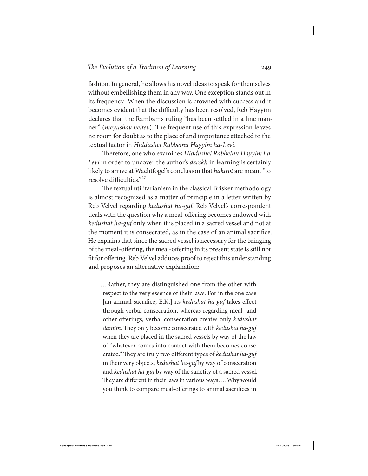fashion. In general, he allows his novel ideas to speak for themselves without embellishing them in any way. One exception stands out in its frequency: When the discussion is crowned with success and it becomes evident that the difficulty has been resolved, Reb Hayyim declares that the Rambam's ruling "has been settled in a fine manner" (meyushav heitev). The frequent use of this expression leaves no room for doubt as to the place of and importance attached to the textual factor in Hiddushei Rabbeinu Hayyim ha-Levi.

Therefore, one who examines Hiddushei Rabbeinu Hayyim ha-Levi in order to uncover the author's *derekh* in learning is certainly likely to arrive at Wachtfogel's conclusion that hakirot are meant "to resolve difficulties."27

The textual utilitarianism in the classical Brisker methodology is almost recognized as a matter of principle in a letter written by Reb Velvel regarding kedushat ha-guf. Reb Velvel's correspondent deals with the question why a meal-offering becomes endowed with kedushat ha-guf only when it is placed in a sacred vessel and not at the moment it is consecrated, as in the case of an animal sacrifice. He explains that since the sacred vessel is necessary for the bringing of the meal-offering, the meal-offering in its present state is still not fit for offering. Reb Velvel adduces proof to reject this understanding and proposes an alternative explanation:

…Rather, they are distinguished one from the other with respect to the very essence of their laws. For in the one case [an animal sacrifice; E.K.] its kedushat ha-guf takes effect through verbal consecration, whereas regarding meal- and other offerings, verbal consecration creates only kedushat damim. They only become consecrated with kedushat ha-guf when they are placed in the sacred vessels by way of the law of "whatever comes into contact with them becomes consecrated." They are truly two different types of kedushat ha-guf in their very objects, kedushat ha-guf by way of consecration and kedushat ha-guf by way of the sanctity of a sacred vessel. They are different in their laws in various ways…. Why would you think to compare meal-offerings to animal sacrifices in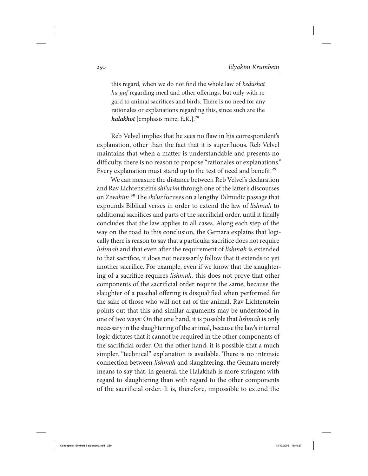this regard, when we do not find the whole law of kedushat ha-guf regarding meal and other offerings, but only with regard to animal sacrifices and birds. There is no need for any rationales or explanations regarding this, since such are the *halakhot* [emphasis mine; E.K.].<sup>28</sup>

Reb Velvel implies that he sees no flaw in his correspondent's explanation, other than the fact that it is superfluous. Reb Velvel maintains that when a matter is understandable and presents no difficulty, there is no reason to propose "rationales or explanations." Every explanation must stand up to the test of need and benefit.<sup>29</sup>

We can measure the distance between Reb Velvel's declaration and Rav Lichtenstein's shi'urim through one of the latter's discourses on Zevahim.<sup>30</sup> The shi'ur focuses on a lengthy Talmudic passage that expounds Biblical verses in order to extend the law of lishmah to additional sacrifices and parts of the sacrificial order, until it finally concludes that the law applies in all cases. Along each step of the way on the road to this conclusion, the Gemara explains that logically there is reason to say that a particular sacrifice does not require lishmah and that even after the requirement of lishmah is extended to that sacrifice, it does not necessarily follow that it extends to yet another sacrifice. For example, even if we know that the slaughtering of a sacrifice requires lishmah, this does not prove that other components of the sacrificial order require the same, because the slaughter of a paschal offering is disqualified when performed for the sake of those who will not eat of the animal. Rav Lichtenstein points out that this and similar arguments may be understood in one of two ways: On the one hand, it is possible that lishmah is only necessary in the slaughtering of the animal, because the law's internal logic dictates that it cannot be required in the other components of the sacrificial order. On the other hand, it is possible that a much simpler, "technical" explanation is available. There is no intrinsic connection between lishmah and slaughtering, the Gemara merely means to say that, in general, the Halakhah is more stringent with regard to slaughtering than with regard to the other components of the sacrificial order. It is, therefore, impossible to extend the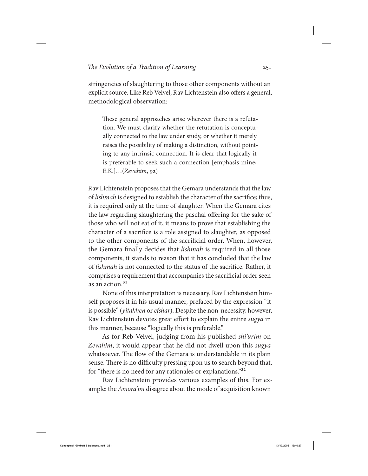stringencies of slaughtering to those other components without an explicit source. Like Reb Velvel, Rav Lichtenstein also offers a general, methodological observation:

These general approaches arise wherever there is a refutation. We must clarify whether the refutation is conceptually connected to the law under study, or whether it merely raises the possibility of making a distinction, without pointing to any intrinsic connection. It is clear that logically it is preferable to seek such a connection [emphasis mine; E.K.]…(Zevahim, 92)

Rav Lichtenstein proposes that the Gemara understands that the law of lishmah is designed to establish the character of the sacrifice; thus, it is required only at the time of slaughter. When the Gemara cites the law regarding slaughtering the paschal offering for the sake of those who will not eat of it, it means to prove that establishing the character of a sacrifice is a role assigned to slaughter, as opposed to the other components of the sacrificial order. When, however, the Gemara finally decides that lishmah is required in all those components, it stands to reason that it has concluded that the law of lishmah is not connected to the status of the sacrifice. Rather, it comprises a requirement that accompanies the sacrificial order seen as an action.<sup>31</sup>

None of this interpretation is necessary. Rav Lichtenstein himself proposes it in his usual manner, prefaced by the expression "it is possible" (yitakhen or efshar). Despite the non-necessity, however, Rav Lichtenstein devotes great effort to explain the entire sugya in this manner, because "logically this is preferable."

As for Reb Velvel, judging from his published shi'urim on Zevahim, it would appear that he did not dwell upon this *sugya* whatsoever. The flow of the Gemara is understandable in its plain sense. There is no difficulty pressing upon us to search beyond that, for "there is no need for any rationales or explanations."32

Rav Lichtenstein provides various examples of this. For example: the *Amora'im* disagree about the mode of acquisition known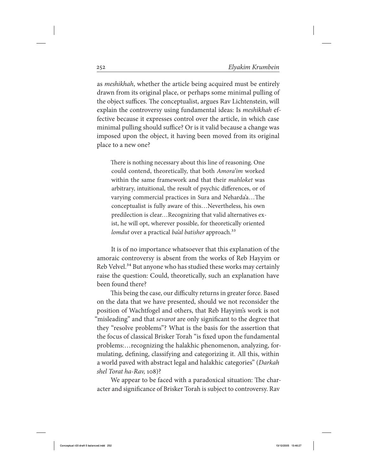as meshikhah, whether the article being acquired must be entirely drawn from its original place, or perhaps some minimal pulling of the object suffices. The conceptualist, argues Rav Lichtenstein, will explain the controversy using fundamental ideas: Is meshikhah effective because it expresses control over the article, in which case minimal pulling should suffice? Or is it valid because a change was imposed upon the object, it having been moved from its original place to a new one?

There is nothing necessary about this line of reasoning. One could contend, theoretically, that both Amora'im worked within the same framework and that their *mahloket* was arbitrary, intuitional, the result of psychic differences, or of varying commercial practices in Sura and Neharda'a…The conceptualist is fully aware of this…Nevertheless, his own predilection is clear…Recognizing that valid alternatives exist, he will opt, wherever possible, for theoretically oriented lomdut over a practical ba'al batisher approach.<sup>33</sup>

It is of no importance whatsoever that this explanation of the amoraic controversy is absent from the works of Reb Hayyim or Reb Velvel.<sup>34</sup> But anyone who has studied these works may certainly raise the question: Could, theoretically, such an explanation have been found there?

This being the case, our difficulty returns in greater force. Based on the data that we have presented, should we not reconsider the position of Wachtfogel and others, that Reb Hayyim's work is not "misleading" and that *sevarot* are only significant to the degree that they "resolve problems"? What is the basis for the assertion that the focus of classical Brisker Torah "is fixed upon the fundamental problems:…recognizing the halakhic phenomenon, analyzing, formulating, defining, classifying and categorizing it. All this, within a world paved with abstract legal and halakhic categories" (Darkah shel Torat ha-Rav, 108)?

We appear to be faced with a paradoxical situation: The character and significance of Brisker Torah is subject to controversy. Rav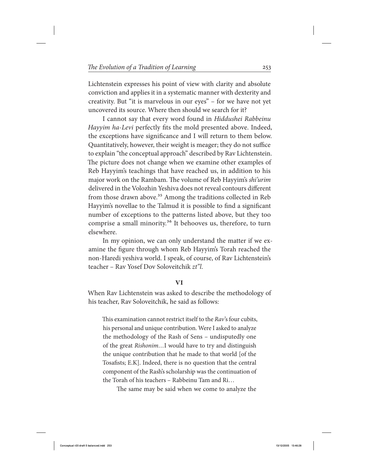Lichtenstein expresses his point of view with clarity and absolute conviction and applies it in a systematic manner with dexterity and creativity. But "it is marvelous in our eyes" – for we have not yet uncovered its source. Where then should we search for it?

I cannot say that every word found in Hiddushei Rabbeinu Hayyim ha-Levi perfectly fits the mold presented above. Indeed, the exceptions have significance and I will return to them below. Quantitatively, however, their weight is meager; they do not suffice to explain "the conceptual approach" described by Rav Lichtenstein. The picture does not change when we examine other examples of Reb Hayyim's teachings that have reached us, in addition to his major work on the Rambam. The volume of Reb Hayyim's shi'urim delivered in the Volozhin Yeshiva does not reveal contours different from those drawn above.<sup>35</sup> Among the traditions collected in Reb Hayyim's novellae to the Talmud it is possible to find a significant number of exceptions to the patterns listed above, but they too comprise a small minority.36 It behooves us, therefore, to turn elsewhere.

In my opinion, we can only understand the matter if we examine the figure through whom Reb Hayyim's Torah reached the non-Haredi yeshiva world. I speak, of course, of Rav Lichtenstein's teacher – Rav Yosef Dov Soloveitchik zt"l.

### **VI**

When Rav Lichtenstein was asked to describe the methodology of his teacher, Rav Soloveitchik, he said as follows:

This examination cannot restrict itself to the Ray's four cubits, his personal and unique contribution. Were I asked to analyze the methodology of the Rash of Sens – undisputedly one of the great Rishonim…I would have to try and distinguish the unique contribution that he made to that world [of the Tosafists; E.K]. Indeed, there is no question that the central component of the Rash's scholarship was the continuation of the Torah of his teachers – Rabbeinu Tam and Ri…

The same may be said when we come to analyze the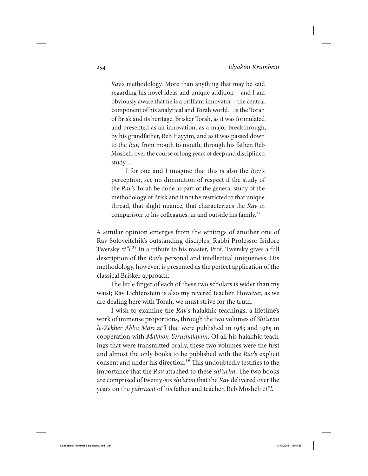Rav's methodology. More than anything that may be said regarding his novel ideas and unique addition – and I am obviously aware that he is a brilliant innovator – the central component of his analytical and Torah world…is the Torah of Brisk and its heritage. Brisker Torah, as it was formulated and presented as an innovation, as a major breakthrough, by his grandfather, Reb Hayyim, and as it was passed down to the Rav, from mouth to mouth, through his father, Reb Mosheh, over the course of long years of deep and disciplined study…

I for one and I imagine that this is also the Rav's perception, see no diminution of respect if the study of the Rav's Torah be done as part of the general study of the methodology of Brisk and it not be restricted to that unique thread, that slight nuance, that characterizes the Rav in comparison to his colleagues, in and outside his family.<sup>37</sup>

A similar opinion emerges from the writings of another one of Rav Soloveitchik's outstanding disciples, Rabbi Professor Isidore Twersky  $zt$ <sup>"</sup>l.<sup>38</sup> In a tribute to his master, Prof. Twersky gives a full description of the Rav's personal and intellectual uniqueness. His methodology, however, is presented as the perfect application of the classical Brisker approach.

The little finger of each of these two scholars is wider than my waist; Rav Lichtenstein is also my revered teacher. However, as we are dealing here with Torah, we must strive for the truth.

I wish to examine the Rav's halakhic teachings, a lifetime's work of immense proportions, through the two volumes of Shi'urim le-Zekher Abba Mari zt"l that were published in 1983 and 1985 in cooperation with Makhon Yerushalayim. Of all his halakhic teachings that were transmitted orally, these two volumes were the first and almost the only books to be published with the Rav's explicit consent and under his direction.<sup>39</sup> This undoubtedly testifies to the importance that the Rav attached to these shi'urim. The two books are comprised of twenty-six *shi'urim* that the *Rav* delivered over the years on the *yahrtzeit* of his father and teacher, Reb Mosheh zt"l.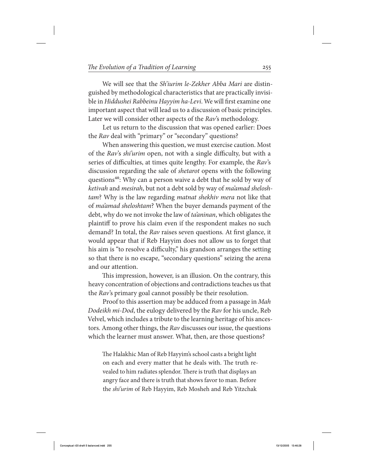We will see that the *Sh'iurim le-Zekher Abba Mari* are distinguished by methodological characteristics that are practically invisible in Hiddushei Rabbeinu Hayyim ha-Levi. We will first examine one important aspect that will lead us to a discussion of basic principles. Later we will consider other aspects of the Rav's methodology.

Let us return to the discussion that was opened earlier: Does the Rav deal with "primary" or "secondary" questions?

When answering this question, we must exercise caution. Most of the Rav's shi'urim open, not with a single difficulty, but with a series of difficulties, at times quite lengthy. For example, the Rav's discussion regarding the sale of shetarot opens with the following questions<sup>40</sup>: Why can a person waive a debt that he sold by way of ketivah and mesirah, but not a debt sold by way of ma'amad sheloshtam? Why is the law regarding matnat shekhiv mera not like that of ma'amad sheloshtam? When the buyer demands payment of the debt, why do we not invoke the law of ta'aninan, which obligates the plaintiff to prove his claim even if the respondent makes no such demand? In total, the Rav raises seven questions. At first glance, it would appear that if Reb Hayyim does not allow us to forget that his aim is "to resolve a difficulty," his grandson arranges the setting so that there is no escape, "secondary questions" seizing the arena and our attention.

This impression, however, is an illusion. On the contrary, this heavy concentration of objections and contradictions teaches us that the Rav's primary goal cannot possibly be their resolution.

Proof to this assertion may be adduced from a passage in Mah Dodeikh mi-Dod, the eulogy delivered by the Rav for his uncle, Reb Velvel, which includes a tribute to the learning heritage of his ancestors. Among other things, the Rav discusses our issue, the questions which the learner must answer. What, then, are those questions?

The Halakhic Man of Reb Hayyim's school casts a bright light on each and every matter that he deals with. The truth revealed to him radiates splendor. There is truth that displays an angry face and there is truth that shows favor to man. Before the shi'urim of Reb Hayyim, Reb Mosheh and Reb Yitzchak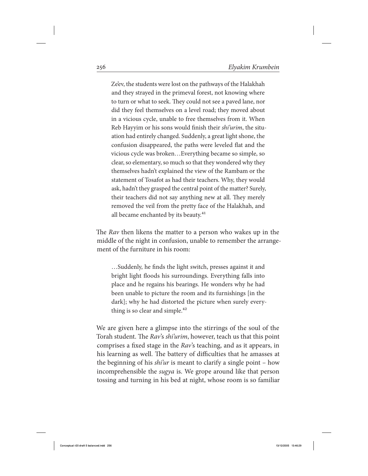Ze'ev, the students were lost on the pathways of the Halakhah and they strayed in the primeval forest, not knowing where to turn or what to seek. They could not see a paved lane, nor did they feel themselves on a level road; they moved about in a vicious cycle, unable to free themselves from it. When Reb Hayyim or his sons would finish their *shi'urim*, the situation had entirely changed. Suddenly, a great light shone, the confusion disappeared, the paths were leveled flat and the vicious cycle was broken…Everything became so simple, so clear, so elementary, so much so that they wondered why they themselves hadn't explained the view of the Rambam or the statement of Tosafot as had their teachers. Why, they would ask, hadn't they grasped the central point of the matter? Surely, their teachers did not say anything new at all. They merely removed the veil from the pretty face of the Halakhah, and all became enchanted by its beauty.<sup>41</sup>

The Rav then likens the matter to a person who wakes up in the middle of the night in confusion, unable to remember the arrangement of the furniture in his room:

 …Suddenly, he finds the light switch, presses against it and bright light floods his surroundings. Everything falls into place and he regains his bearings. He wonders why he had been unable to picture the room and its furnishings [in the dark]; why he had distorted the picture when surely everything is so clear and simple. $42$ 

We are given here a glimpse into the stirrings of the soul of the Torah student. The Rav's shi'urim, however, teach us that this point comprises a fixed stage in the Rav's teaching, and as it appears, in his learning as well. The battery of difficulties that he amasses at the beginning of his *shi'ur* is meant to clarify a single point – how incomprehensible the sugya is. We grope around like that person tossing and turning in his bed at night, whose room is so familiar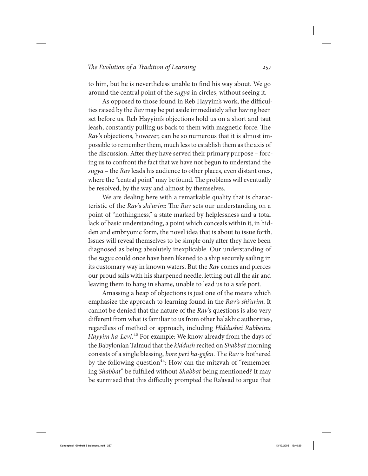to him, but he is nevertheless unable to find his way about. We go around the central point of the sugya in circles, without seeing it.

As opposed to those found in Reb Hayyim's work, the difficulties raised by the Rav may be put aside immediately after having been set before us. Reb Hayyim's objections hold us on a short and taut leash, constantly pulling us back to them with magnetic force. The Rav's objections, however, can be so numerous that it is almost impossible to remember them, much less to establish them as the axis of the discussion. After they have served their primary purpose – forcing us to confront the fact that we have not begun to understand the sugya – the Rav leads his audience to other places, even distant ones, where the "central point" may be found. The problems will eventually be resolved, by the way and almost by themselves.

We are dealing here with a remarkable quality that is characteristic of the Rav's shi'urim: The Rav sets our understanding on a point of "nothingness," a state marked by helplessness and a total lack of basic understanding, a point which conceals within it, in hidden and embryonic form, the novel idea that is about to issue forth. Issues will reveal themselves to be simple only after they have been diagnosed as being absolutely inexplicable. Our understanding of the sugya could once have been likened to a ship securely sailing in its customary way in known waters. But the Rav comes and pierces our proud sails with his sharpened needle, letting out all the air and leaving them to hang in shame, unable to lead us to a safe port.

Amassing a heap of objections is just one of the means which emphasize the approach to learning found in the Rav's shi'urim. It cannot be denied that the nature of the  $Rav$ 's questions is also very different from what is familiar to us from other halakhic authorities, regardless of method or approach, including Hiddushei Rabbeinu Hayyim ha-Levi.<sup>43</sup> For example: We know already from the days of the Babylonian Talmud that the kiddush recited on Shabbat morning consists of a single blessing, bore peri ha-gefen. The Rav is bothered by the following question<sup>44</sup>: How can the mitzvah of "remembering Shabbat" be fulfilled without Shabbat being mentioned? It may be surmised that this difficulty prompted the Ra'avad to argue that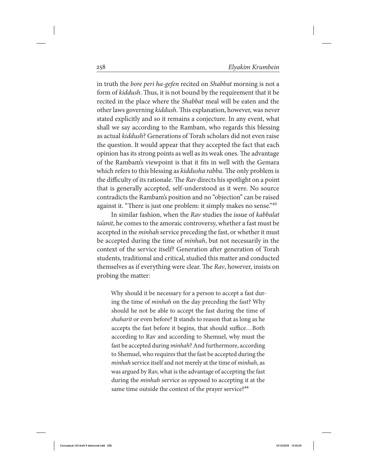in truth the bore peri ha-gefen recited on Shabbat morning is not a form of kiddush. Thus, it is not bound by the requirement that it be recited in the place where the Shabbat meal will be eaten and the other laws governing kiddush. This explanation, however, was never stated explicitly and so it remains a conjecture. In any event, what shall we say according to the Rambam, who regards this blessing as actual kiddush? Generations of Torah scholars did not even raise the question. It would appear that they accepted the fact that each opinion has its strong points as well as its weak ones. The advantage of the Rambam's viewpoint is that it fits in well with the Gemara which refers to this blessing as kiddusha rabba. The only problem is the difficulty of its rationale. The Rav directs his spotlight on a point that is generally accepted, self-understood as it were. No source contradicts the Rambam's position and no "objection" can be raised against it. "There is just one problem: it simply makes no sense."<sup>45</sup>

In similar fashion, when the Rav studies the issue of kabbalat ta'anit, he comes to the amoraic controversy, whether a fast must be accepted in the *minhah* service preceding the fast, or whether it must be accepted during the time of *minhah*, but not necessarily in the context of the service itself? Generation after generation of Torah students, traditional and critical, studied this matter and conducted themselves as if everything were clear. The Rav, however, insists on probing the matter:

Why should it be necessary for a person to accept a fast during the time of minhah on the day preceding the fast? Why should he not be able to accept the fast during the time of shaharit or even before? It stands to reason that as long as he accepts the fast before it begins, that should suffice…Both according to Rav and according to Shemuel, why must the fast be accepted during *minhah*? And furthermore, according to Shemuel, who requires that the fast be accepted during the minhah service itself and not merely at the time of *minhah*, as was argued by Rav, what is the advantage of accepting the fast during the *minhah* service as opposed to accepting it at the same time outside the context of the prayer service?<sup>46</sup>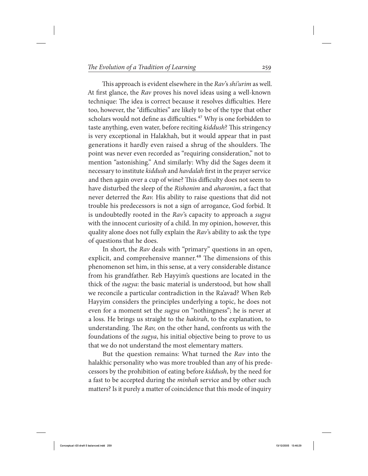This approach is evident elsewhere in the Rav's shi'urim as well. At first glance, the Rav proves his novel ideas using a well-known technique: The idea is correct because it resolves difficulties. Here too, however, the "difficulties" are likely to be of the type that other scholars would not define as difficulties.<sup>47</sup> Why is one forbidden to taste anything, even water, before reciting kiddush? This stringency is very exceptional in Halakhah, but it would appear that in past generations it hardly even raised a shrug of the shoulders. The point was never even recorded as "requiring consideration," not to mention "astonishing." And similarly: Why did the Sages deem it necessary to institute kiddush and havdalah first in the prayer service and then again over a cup of wine? This difficulty does not seem to have disturbed the sleep of the Rishonim and aharonim, a fact that never deterred the Rav. His ability to raise questions that did not trouble his predecessors is not a sign of arrogance, God forbid. It is undoubtedly rooted in the Rav's capacity to approach a sugya with the innocent curiosity of a child. In my opinion, however, this quality alone does not fully explain the  $Rav$ 's ability to ask the type of questions that he does.

In short, the Rav deals with "primary" questions in an open, explicit, and comprehensive manner.<sup>48</sup> The dimensions of this phenomenon set him, in this sense, at a very considerable distance from his grandfather. Reb Hayyim's questions are located in the thick of the sugya: the basic material is understood, but how shall we reconcile a particular contradiction in the Ra'avad? When Reb Hayyim considers the principles underlying a topic, he does not even for a moment set the *sugya* on "nothingness"; he is never at a loss. He brings us straight to the hakirah, to the explanation, to understanding. The Rav, on the other hand, confronts us with the foundations of the sugya, his initial objective being to prove to us that we do not understand the most elementary matters.

But the question remains: What turned the Rav into the halakhic personality who was more troubled than any of his predecessors by the prohibition of eating before kiddush, by the need for a fast to be accepted during the minhah service and by other such matters? Is it purely a matter of coincidence that this mode of inquiry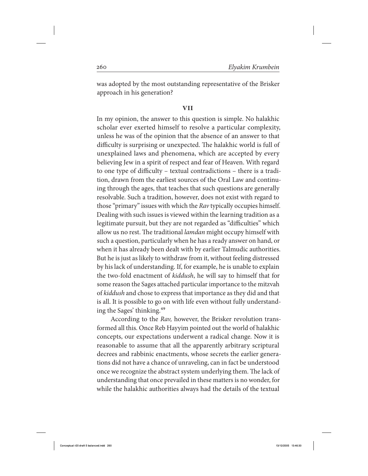was adopted by the most outstanding representative of the Brisker approach in his generation?

### **vii**

In my opinion, the answer to this question is simple. No halakhic scholar ever exerted himself to resolve a particular complexity, unless he was of the opinion that the absence of an answer to that difficulty is surprising or unexpected. The halakhic world is full of unexplained laws and phenomena, which are accepted by every believing Jew in a spirit of respect and fear of Heaven. With regard to one type of difficulty – textual contradictions – there is a tradition, drawn from the earliest sources of the Oral Law and continuing through the ages, that teaches that such questions are generally resolvable. Such a tradition, however, does not exist with regard to those "primary" issues with which the Rav typically occupies himself. Dealing with such issues is viewed within the learning tradition as a legitimate pursuit, but they are not regarded as "difficulties" which allow us no rest. The traditional lamdan might occupy himself with such a question, particularly when he has a ready answer on hand, or when it has already been dealt with by earlier Talmudic authorities. But he is just as likely to withdraw from it, without feeling distressed by his lack of understanding. If, for example, he is unable to explain the two-fold enactment of kiddush, he will say to himself that for some reason the Sages attached particular importance to the mitzvah of kiddush and chose to express that importance as they did and that is all. It is possible to go on with life even without fully understanding the Sages' thinking.49

According to the Rav, however, the Brisker revolution transformed all this. Once Reb Hayyim pointed out the world of halakhic concepts, our expectations underwent a radical change. Now it is reasonable to assume that all the apparently arbitrary scriptural decrees and rabbinic enactments, whose secrets the earlier generations did not have a chance of unraveling, can in fact be understood once we recognize the abstract system underlying them. The lack of understanding that once prevailed in these matters is no wonder, for while the halakhic authorities always had the details of the textual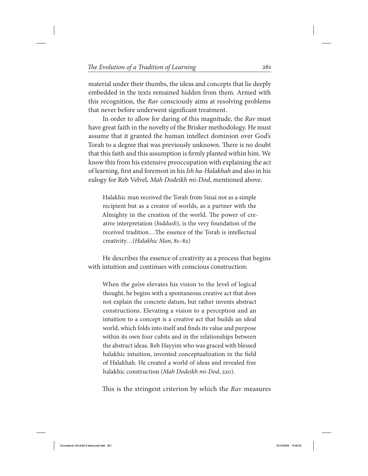material under their thumbs, the ideas and concepts that lie deeply embedded in the texts remained hidden from them. Armed with this recognition, the Rav consciously aims at resolving problems that never before underwent significant treatment.

In order to allow for daring of this magnitude, the Rav must have great faith in the novelty of the Brisker methodology. He must assume that it granted the human intellect dominion over God's Torah to a degree that was previously unknown. There is no doubt that this faith and this assumption is firmly planted within him. We know this from his extensive preoccupation with explaining the act of learning, first and foremost in his Ish ha-Halakhah and also in his eulogy for Reb Velvel, Mah Dodeikh mi-Dod, mentioned above.

Halakhic man received the Torah from Sinai not as a simple recipient but as a creator of worlds, as a partner with the Almighty in the creation of the world. The power of creative interpretation (hiddush), is the very foundation of the received tradition…The essence of the Torah is intellectual creativity…(Halakhic Man, 81–82)

He describes the essence of creativity as a process that begins with intuition and continues with conscious construction:

When the *ga'on* elevates his vision to the level of logical thought, he begins with a spontaneous creative act that does not explain the concrete datum, but rather invents abstract constructions. Elevating a vision to a perception and an intuition to a concept is a creative act that builds an ideal world, which folds into itself and finds its value and purpose within its own four cubits and in the relationships between the abstract ideas. Reb Hayyim who was graced with blessed halakhic intuition, invented conceptualization in the field of Halakhah. He created a world of ideas and revealed free halakhic construction (Mah Dodeikh mi-Dod, 220).

This is the stringent criterion by which the Rav measures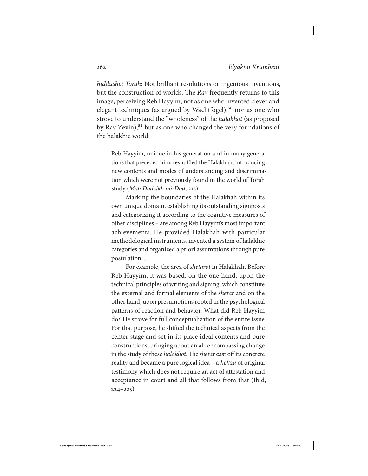hiddushei Torah: Not brilliant resolutions or ingenious inventions, but the construction of worlds. The Rav frequently returns to this image, perceiving Reb Hayyim, not as one who invented clever and elegant techniques (as argued by Wachtfogel),<sup>50</sup> nor as one who strove to understand the "wholeness" of the halakhot (as proposed by Rav Zevin),<sup>51</sup> but as one who changed the very foundations of the halakhic world:

Reb Hayyim, unique in his generation and in many generations that preceded him, reshuffled the Halakhah, introducing new contents and modes of understanding and discrimination which were not previously found in the world of Torah study (Mah Dodeikh mi-Dod, 213).

Marking the boundaries of the Halakhah within its own unique domain, establishing its outstanding signposts and categorizing it according to the cognitive measures of other disciplines – are among Reb Hayyim's most important achievements. He provided Halakhah with particular methodological instruments, invented a system of halakhic categories and organized a priori assumptions through pure postulation…

For example, the area of shetarot in Halakhah. Before Reb Hayyim, it was based, on the one hand, upon the technical principles of writing and signing, which constitute the external and formal elements of the shetar and on the other hand, upon presumptions rooted in the psychological patterns of reaction and behavior. What did Reb Hayyim do? He strove for full conceptualization of the entire issue. For that purpose, he shifted the technical aspects from the center stage and set in its place ideal contents and pure constructions, bringing about an all-encompassing change in the study of these halakhot. The shetar cast off its concrete reality and became a pure logical idea – a heftza of original testimony which does not require an act of attestation and acceptance in court and all that follows from that (Ibid, 224–225).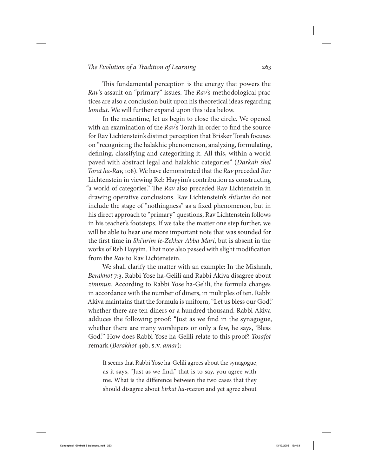This fundamental perception is the energy that powers the Rav's assault on "primary" issues. The Rav's methodological practices are also a conclusion built upon his theoretical ideas regarding lomdut. We will further expand upon this idea below.

In the meantime, let us begin to close the circle. We opened with an examination of the Rav's Torah in order to find the source for Rav Lichtenstein's distinct perception that Brisker Torah focuses on "recognizing the halakhic phenomenon, analyzing, formulating, defining, classifying and categorizing it. All this, within a world paved with abstract legal and halakhic categories" (Darkah shel Torat ha-Rav, 108). We have demonstrated that the Rav preceded Rav Lichtenstein in viewing Reb Hayyim's contribution as constructing "a world of categories." The Rav also preceded Rav Lichtenstein in drawing operative conclusions. Rav Lichtenstein's shi'urim do not include the stage of "nothingness" as a fixed phenomenon, but in his direct approach to "primary" questions, Rav Lichtenstein follows in his teacher's footsteps. If we take the matter one step further, we will be able to hear one more important note that was sounded for the first time in Shi'urim le-Zekher Abba Mari, but is absent in the works of Reb Hayyim. That note also passed with slight modification from the Rav to Rav Lichtenstein.

We shall clarify the matter with an example: In the Mishnah, Berakhot 7:3, Rabbi Yose ha-Gelili and Rabbi Akiva disagree about zimmun. According to Rabbi Yose ha-Gelili, the formula changes in accordance with the number of diners, in multiples of ten. Rabbi Akiva maintains that the formula is uniform, "Let us bless our God," whether there are ten diners or a hundred thousand. Rabbi Akiva adduces the following proof: "Just as we find in the synagogue, whether there are many worshipers or only a few, he says, 'Bless God.'" How does Rabbi Yose ha-Gelili relate to this proof? Tosafot remark (Berakhot 49b, s.v. amar):

It seems that Rabbi Yose ha-Gelili agrees about the synagogue, as it says, "Just as we find," that is to say, you agree with me. What is the difference between the two cases that they should disagree about *birkat ha-mazon* and yet agree about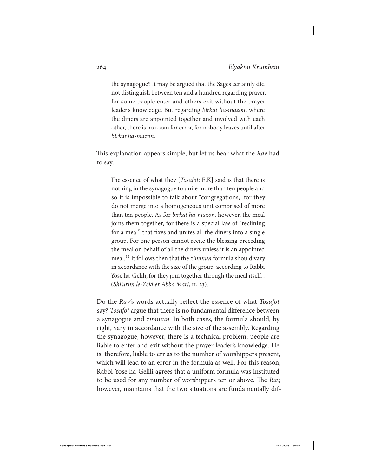the synagogue? It may be argued that the Sages certainly did not distinguish between ten and a hundred regarding prayer, for some people enter and others exit without the prayer leader's knowledge. But regarding birkat ha-mazon, where the diners are appointed together and involved with each other, there is no room for error, for nobody leaves until after birkat ha-mazon.

This explanation appears simple, but let us hear what the Rav had to say:

The essence of what they [*Tosafot*; E.K] said is that there is nothing in the synagogue to unite more than ten people and so it is impossible to talk about "congregations," for they do not merge into a homogeneous unit comprised of more than ten people. As for birkat ha-mazon, however, the meal joins them together, for there is a special law of "reclining for a meal" that fixes and unites all the diners into a single group. For one person cannot recite the blessing preceding the meal on behalf of all the diners unless it is an appointed meal.<sup>52</sup> It follows then that the *zimmun* formula should vary in accordance with the size of the group, according to Rabbi Yose ha-Gelili, for they join together through the meal itself… (Shi'urim le-Zekher Abba Mari, ii, 23).

Do the Rav's words actually reflect the essence of what Tosafot say? Tosafot argue that there is no fundamental difference between a synagogue and *zimmun*. In both cases, the formula should, by right, vary in accordance with the size of the assembly. Regarding the synagogue, however, there is a technical problem: people are liable to enter and exit without the prayer leader's knowledge. He is, therefore, liable to err as to the number of worshippers present, which will lead to an error in the formula as well. For this reason, Rabbi Yose ha-Gelili agrees that a uniform formula was instituted to be used for any number of worshippers ten or above. The Rav, however, maintains that the two situations are fundamentally dif-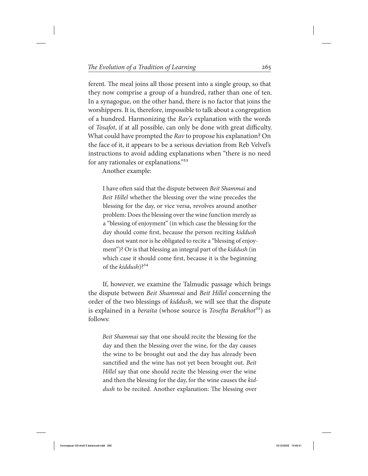ferent. The meal joins all those present into a single group, so that they now comprise a group of a hundred, rather than one of ten. In a synagogue, on the other hand, there is no factor that joins the worshippers. It is, therefore, impossible to talk about a congregation of a hundred. Harmonizing the Rav's explanation with the words of Tosafot, if at all possible, can only be done with great difficulty. What could have prompted the Rav to propose his explanation? On the face of it, it appears to be a serious deviation from Reb Velvel's instructions to avoid adding explanations when "there is no need for any rationales or explanations."53

Another example:

I have often said that the dispute between *Beit Shammai* and Beit Hillel whether the blessing over the wine precedes the blessing for the day, or vice versa, revolves around another problem: Does the blessing over the wine function merely as a "blessing of enjoyment" (in which case the blessing for the day should come first, because the person reciting *kiddush* does not want nor is he obligated to recite a "blessing of enjoyment")? Or is that blessing an integral part of the *kiddush* (in which case it should come first, because it is the beginning of the kiddush)?<sup>54</sup>

If, however, we examine the Talmudic passage which brings the dispute between Beit Shammai and Beit Hillel concerning the order of the two blessings of kiddush, we will see that the dispute is explained in a *beraita* (whose source is *Tosefta Berakhot*<sup>55</sup>) as follows:

Beit Shammai say that one should recite the blessing for the day and then the blessing over the wine, for the day causes the wine to be brought out and the day has already been sanctified and the wine has not yet been brought out. Beit Hillel say that one should recite the blessing over the wine and then the blessing for the day, for the wine causes the kiddush to be recited. Another explanation: The blessing over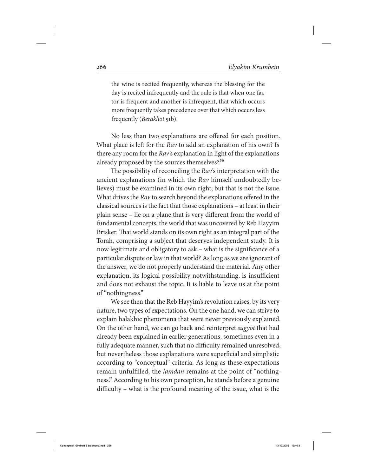the wine is recited frequently, whereas the blessing for the day is recited infrequently and the rule is that when one factor is frequent and another is infrequent, that which occurs more frequently takes precedence over that which occurs less frequently (Berakhot 51b).

No less than two explanations are offered for each position. What place is left for the Rav to add an explanation of his own? Is there any room for the Rav's explanation in light of the explanations already proposed by the sources themselves?<sup>56</sup>

The possibility of reconciling the Rav's interpretation with the ancient explanations (in which the Rav himself undoubtedly believes) must be examined in its own right; but that is not the issue. What drives the Rav to search beyond the explanations offered in the classical sources is the fact that those explanations – at least in their plain sense – lie on a plane that is very different from the world of fundamental concepts, the world that was uncovered by Reb Hayyim Brisker. That world stands on its own right as an integral part of the Torah, comprising a subject that deserves independent study. It is now legitimate and obligatory to ask – what is the significance of a particular dispute or law in that world? As long as we are ignorant of the answer, we do not properly understand the material. Any other explanation, its logical possibility notwithstanding, is insufficient and does not exhaust the topic. It is liable to leave us at the point of "nothingness."

We see then that the Reb Hayyim's revolution raises, by its very nature, two types of expectations. On the one hand, we can strive to explain halakhic phenomena that were never previously explained. On the other hand, we can go back and reinterpret sugyot that had already been explained in earlier generations, sometimes even in a fully adequate manner, such that no difficulty remained unresolved, but nevertheless those explanations were superficial and simplistic according to "conceptual" criteria. As long as these expectations remain unfulfilled, the lamdan remains at the point of "nothingness." According to his own perception, he stands before a genuine difficulty – what is the profound meaning of the issue, what is the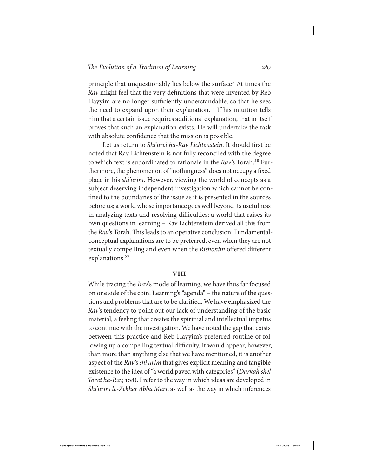principle that unquestionably lies below the surface? At times the Rav might feel that the very definitions that were invented by Reb Hayyim are no longer sufficiently understandable, so that he sees the need to expand upon their explanation.<sup>57</sup> If his intuition tells him that a certain issue requires additional explanation, that in itself proves that such an explanation exists. He will undertake the task with absolute confidence that the mission is possible.

Let us return to Shi'urei ha-Rav Lichtenstein. It should first be noted that Rav Lichtenstein is not fully reconciled with the degree to which text is subordinated to rationale in the  $Rav$ 's Torah.<sup>58</sup> Furthermore, the phenomenon of "nothingness" does not occupy a fixed place in his shi'urim. However, viewing the world of concepts as a subject deserving independent investigation which cannot be confined to the boundaries of the issue as it is presented in the sources before us; a world whose importance goes well beyond its usefulness in analyzing texts and resolving difficulties; a world that raises its own questions in learning – Rav Lichtenstein derived all this from the Rav's Torah. This leads to an operative conclusion: Fundamentalconceptual explanations are to be preferred, even when they are not textually compelling and even when the Rishonim offered different explanations.<sup>59</sup>

#### **viii**

While tracing the Rav's mode of learning, we have thus far focused on one side of the coin: Learning's "agenda" – the nature of the questions and problems that are to be clarified. We have emphasized the Rav's tendency to point out our lack of understanding of the basic material, a feeling that creates the spiritual and intellectual impetus to continue with the investigation. We have noted the gap that exists between this practice and Reb Hayyim's preferred routine of following up a compelling textual difficulty. It would appear, however, than more than anything else that we have mentioned, it is another aspect of the Rav's shi'urim that gives explicit meaning and tangible existence to the idea of "a world paved with categories" (Darkah shel Torat ha-Rav, 108). I refer to the way in which ideas are developed in Shi'urim le-Zekher Abba Mari, as well as the way in which inferences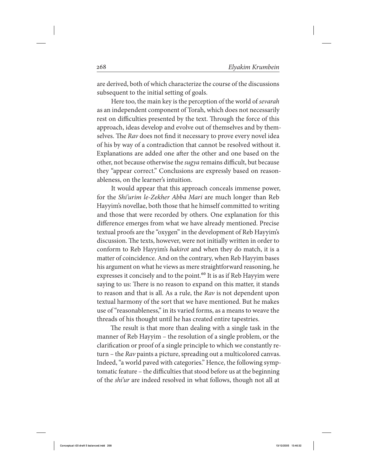are derived, both of which characterize the course of the discussions subsequent to the initial setting of goals.

Here too, the main key is the perception of the world of sevarah as an independent component of Torah, which does not necessarily rest on difficulties presented by the text. Through the force of this approach, ideas develop and evolve out of themselves and by themselves. The Rav does not find it necessary to prove every novel idea of his by way of a contradiction that cannot be resolved without it. Explanations are added one after the other and one based on the other, not because otherwise the sugya remains difficult, but because they "appear correct." Conclusions are expressly based on reasonableness, on the learner's intuition.

It would appear that this approach conceals immense power, for the Shi'urim le-Zekher Abba Mari are much longer than Reb Hayyim's novellae, both those that he himself committed to writing and those that were recorded by others. One explanation for this difference emerges from what we have already mentioned. Precise textual proofs are the "oxygen" in the development of Reb Hayyim's discussion. The texts, however, were not initially written in order to conform to Reb Hayyim's hakirot and when they do match, it is a matter of coincidence. And on the contrary, when Reb Hayyim bases his argument on what he views as mere straightforward reasoning, he expresses it concisely and to the point.<sup>60</sup> It is as if Reb Hayyim were saying to us: There is no reason to expand on this matter, it stands to reason and that is all. As a rule, the Rav is not dependent upon textual harmony of the sort that we have mentioned. But he makes use of "reasonableness," in its varied forms, as a means to weave the threads of his thought until he has created entire tapestries.

The result is that more than dealing with a single task in the manner of Reb Hayyim – the resolution of a single problem, or the clarification or proof of a single principle to which we constantly return – the Rav paints a picture, spreading out a multicolored canvas. Indeed, "a world paved with categories." Hence, the following symptomatic feature – the difficulties that stood before us at the beginning of the shi'ur are indeed resolved in what follows, though not all at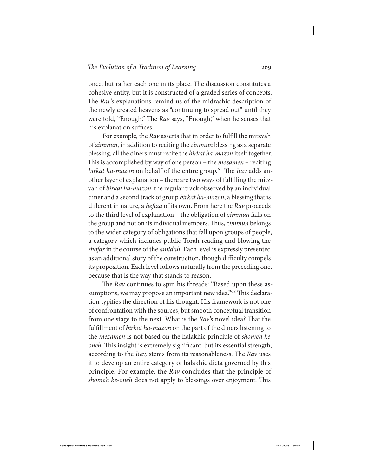once, but rather each one in its place. The discussion constitutes a cohesive entity, but it is constructed of a graded series of concepts. The Rav's explanations remind us of the midrashic description of the newly created heavens as "continuing to spread out" until they were told, "Enough." The Rav says, "Enough," when he senses that his explanation suffices.

For example, the Rav asserts that in order to fulfill the mitzvah of zimmun, in addition to reciting the zimmun blessing as a separate blessing, all the diners must recite the birkat ha-mazon itself together. This is accomplished by way of one person – the mezamen – reciting birkat ha-mazon on behalf of the entire group.<sup>61</sup> The Rav adds another layer of explanation – there are two ways of fulfilling the mitzvah of birkat ha-mazon: the regular track observed by an individual diner and a second track of group birkat ha-mazon, a blessing that is different in nature, a *heftza* of its own. From here the Rav proceeds to the third level of explanation – the obligation of zimmun falls on the group and not on its individual members. Thus, zimmun belongs to the wider category of obligations that fall upon groups of people, a category which includes public Torah reading and blowing the shofar in the course of the amidah. Each level is expressly presented as an additional story of the construction, though difficulty compels its proposition. Each level follows naturally from the preceding one, because that is the way that stands to reason.

The Rav continues to spin his threads: "Based upon these assumptions, we may propose an important new idea."<sup>62</sup> This declaration typifies the direction of his thought. His framework is not one of confrontation with the sources, but smooth conceptual transition from one stage to the next. What is the Rav's novel idea? That the fulfillment of birkat ha-mazon on the part of the diners listening to the mezamen is not based on the halakhic principle of shome'a keoneh. This insight is extremely significant, but its essential strength, according to the Rav, stems from its reasonableness. The Rav uses it to develop an entire category of halakhic dicta governed by this principle. For example, the Rav concludes that the principle of shome'a ke-oneh does not apply to blessings over enjoyment. This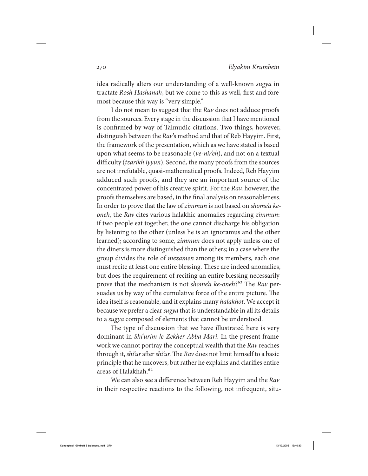idea radically alters our understanding of a well-known sugya in tractate Rosh Hashanah, but we come to this as well, first and foremost because this way is "very simple."

I do not mean to suggest that the Rav does not adduce proofs from the sources. Every stage in the discussion that I have mentioned is confirmed by way of Talmudic citations. Two things, however, distinguish between the Rav's method and that of Reb Hayyim. First, the framework of the presentation, which as we have stated is based upon what seems to be reasonable (ve-nireh), and not on a textual difficulty (tzarikh iyyun). Second, the many proofs from the sources are not irrefutable, quasi-mathematical proofs. Indeed, Reb Hayyim adduced such proofs, and they are an important source of the concentrated power of his creative spirit. For the Rav, however, the proofs themselves are based, in the final analysis on reasonableness. In order to prove that the law of zimmun is not based on shome'a keoneh, the Rav cites various halakhic anomalies regarding zimmun: if two people eat together, the one cannot discharge his obligation by listening to the other (unless he is an ignoramus and the other learned); according to some, zimmun does not apply unless one of the diners is more distinguished than the others; in a case where the group divides the role of *mezamen* among its members, each one must recite at least one entire blessing. These are indeed anomalies, but does the requirement of reciting an entire blessing necessarily prove that the mechanism is not shome'a ke-oneh?<sup>63</sup> The Rav persuades us by way of the cumulative force of the entire picture. The idea itself is reasonable, and it explains many halakhot. We accept it because we prefer a clear sugya that is understandable in all its details to a sugya composed of elements that cannot be understood.

The type of discussion that we have illustrated here is very dominant in Shi'urim le-Zekher Abba Mari. In the present framework we cannot portray the conceptual wealth that the Rav reaches through it, shi'ur after shi'ur. The Rav does not limit himself to a basic principle that he uncovers, but rather he explains and clarifies entire areas of Halakhah.64

We can also see a difference between Reb Hayyim and the Rav in their respective reactions to the following, not infrequent, situ-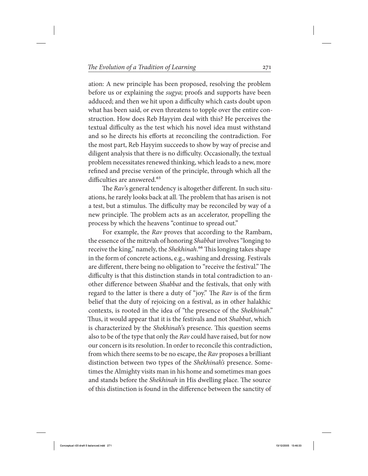ation: A new principle has been proposed, resolving the problem before us or explaining the sugya; proofs and supports have been adduced; and then we hit upon a difficulty which casts doubt upon what has been said, or even threatens to topple over the entire construction. How does Reb Hayyim deal with this? He perceives the textual difficulty as the test which his novel idea must withstand and so he directs his efforts at reconciling the contradiction. For the most part, Reb Hayyim succeeds to show by way of precise and diligent analysis that there is no difficulty. Occasionally, the textual problem necessitates renewed thinking, which leads to a new, more refined and precise version of the principle, through which all the difficulties are answered.<sup>65</sup>

The Rav's general tendency is altogether different. In such situations, he rarely looks back at all. The problem that has arisen is not a test, but a stimulus. The difficulty may be reconciled by way of a new principle. The problem acts as an accelerator, propelling the process by which the heavens "continue to spread out."

For example, the Rav proves that according to the Rambam, the essence of the mitzvah of honoring Shabbat involves "longing to receive the king," namely, the Shekhinah.<sup>66</sup> This longing takes shape in the form of concrete actions, e.g., washing and dressing. Festivals are different, there being no obligation to "receive the festival." The difficulty is that this distinction stands in total contradiction to another difference between Shabbat and the festivals, that only with regard to the latter is there a duty of "joy." The Rav is of the firm belief that the duty of rejoicing on a festival, as in other halakhic contexts, is rooted in the idea of "the presence of the Shekhinah." Thus, it would appear that it is the festivals and not Shabbat, which is characterized by the Shekhinah's presence. This question seems also to be of the type that only the Rav could have raised, but for now our concern is its resolution. In order to reconcile this contradiction, from which there seems to be no escape, the Rav proposes a brilliant distinction between two types of the Shekhinah's presence. Sometimes the Almighty visits man in his home and sometimes man goes and stands before the Shekhinah in His dwelling place. The source of this distinction is found in the difference between the sanctity of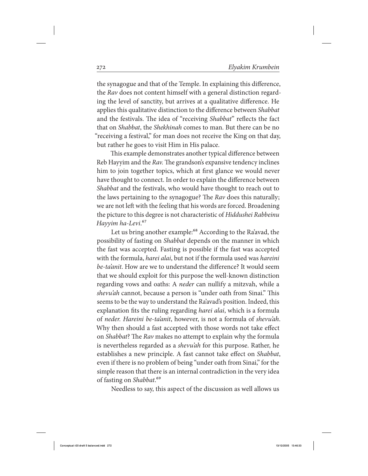the synagogue and that of the Temple. In explaining this difference, the Rav does not content himself with a general distinction regarding the level of sanctity, but arrives at a qualitative difference. He applies this qualitative distinction to the difference between Shabbat and the festivals. The idea of "receiving Shabbat" reflects the fact that on Shabbat, the Shekhinah comes to man. But there can be no "receiving a festival," for man does not receive the King on that day, but rather he goes to visit Him in His palace.

This example demonstrates another typical difference between Reb Hayyim and the Rav. The grandson's expansive tendency inclines him to join together topics, which at first glance we would never have thought to connect. In order to explain the difference between Shabbat and the festivals, who would have thought to reach out to the laws pertaining to the synagogue? The Rav does this naturally; we are not left with the feeling that his words are forced. Broadening the picture to this degree is not characteristic of Hiddushei Rabbeinu Hayyim ha-Levi.<sup>67</sup>

Let us bring another example:<sup>68</sup> According to the Ra'avad, the possibility of fasting on Shabbat depends on the manner in which the fast was accepted. Fasting is possible if the fast was accepted with the formula, *harei alai*, but not if the formula used was *hareini* be-ta'anit. How are we to understand the difference? It would seem that we should exploit for this purpose the well-known distinction regarding vows and oaths: A neder can nullify a mitzvah, while a shevu'ah cannot, because a person is "under oath from Sinai." This seems to be the way to understand the Ra'avad's position. Indeed, this explanation fits the ruling regarding harei alai, which is a formula of neder. Hareini be-ta'anit, however, is not a formula of shevu'ah. Why then should a fast accepted with those words not take effect on Shabbat? The Rav makes no attempt to explain why the formula is nevertheless regarded as a shevu'ah for this purpose. Rather, he establishes a new principle. A fast cannot take effect on Shabbat, even if there is no problem of being "under oath from Sinai," for the simple reason that there is an internal contradiction in the very idea of fasting on Shabbat.<sup>69</sup>

Needless to say, this aspect of the discussion as well allows us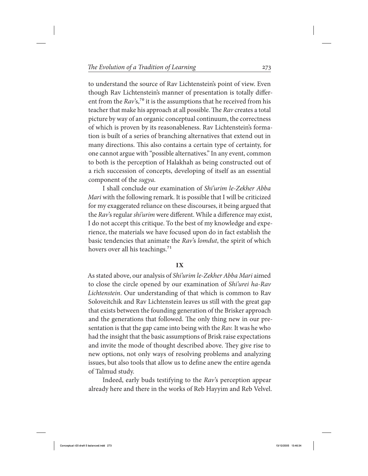to understand the source of Rav Lichtenstein's point of view. Even though Rav Lichtenstein's manner of presentation is totally different from the  $Rav$ 's,<sup>70</sup> it is the assumptions that he received from his teacher that make his approach at all possible. The Rav creates a total picture by way of an organic conceptual continuum, the correctness of which is proven by its reasonableness. Rav Lichtenstein's formation is built of a series of branching alternatives that extend out in many directions. This also contains a certain type of certainty, for one cannot argue with "possible alternatives." In any event, common to both is the perception of Halakhah as being constructed out of a rich succession of concepts, developing of itself as an essential component of the sugya.

I shall conclude our examination of Shi'urim le-Zekher Abba Mari with the following remark. It is possible that I will be criticized for my exaggerated reliance on these discourses, it being argued that the Rav's regular shi'urim were different. While a difference may exist, I do not accept this critique. To the best of my knowledge and experience, the materials we have focused upon do in fact establish the basic tendencies that animate the Rav's lomdut, the spirit of which hovers over all his teachings.<sup>71</sup>

### **IX**

As stated above, our analysis of Shi'urim le-Zekher Abba Mari aimed to close the circle opened by our examination of Shi'urei ha-Rav Lichtenstein. Our understanding of that which is common to Rav Soloveitchik and Rav Lichtenstein leaves us still with the great gap that exists between the founding generation of the Brisker approach and the generations that followed. The only thing new in our presentation is that the gap came into being with the Rav. It was he who had the insight that the basic assumptions of Brisk raise expectations and invite the mode of thought described above. They give rise to new options, not only ways of resolving problems and analyzing issues, but also tools that allow us to define anew the entire agenda of Talmud study.

Indeed, early buds testifying to the Rav's perception appear already here and there in the works of Reb Hayyim and Reb Velvel.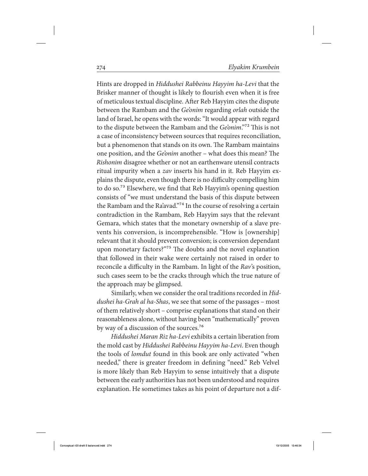Hints are dropped in Hiddushei Rabbeinu Hayyim ha-Levi that the Brisker manner of thought is likely to flourish even when it is free of meticulous textual discipline. After Reb Hayyim cites the dispute between the Rambam and the Ge'onim regarding orlah outside the land of Israel, he opens with the words: "It would appear with regard to the dispute between the Rambam and the Ge'onim."72 This is not a case of inconsistency between sources that requires reconciliation, but a phenomenon that stands on its own. The Rambam maintains one position, and the Ge'onim another – what does this mean? The Rishonim disagree whether or not an earthenware utensil contracts ritual impurity when a zav inserts his hand in it. Reb Hayyim explains the dispute, even though there is no difficulty compelling him to do so.73 Elsewhere, we find that Reb Hayyim's opening question consists of "we must understand the basis of this dispute between the Rambam and the Ra'avad."<sup>74</sup> In the course of resolving a certain contradiction in the Rambam, Reb Hayyim says that the relevant Gemara, which states that the monetary ownership of a slave prevents his conversion, is incomprehensible. "How is [ownership] relevant that it should prevent conversion; is conversion dependant upon monetary factors?"75 The doubts and the novel explanation that followed in their wake were certainly not raised in order to reconcile a difficulty in the Rambam. In light of the Rav's position, such cases seem to be the cracks through which the true nature of the approach may be glimpsed.

Similarly, when we consider the oral traditions recorded in Hiddushei ha-Grah al ha-Shas, we see that some of the passages – most of them relatively short – comprise explanations that stand on their reasonableness alone, without having been "mathematically" proven by way of a discussion of the sources.<sup>76</sup>

Hiddushei Maran Riz ha-Levi exhibits a certain liberation from the mold cast by Hiddushei Rabbeinu Hayyim ha-Levi. Even though the tools of lomdut found in this book are only activated "when needed," there is greater freedom in defining "need." Reb Velvel is more likely than Reb Hayyim to sense intuitively that a dispute between the early authorities has not been understood and requires explanation. He sometimes takes as his point of departure not a dif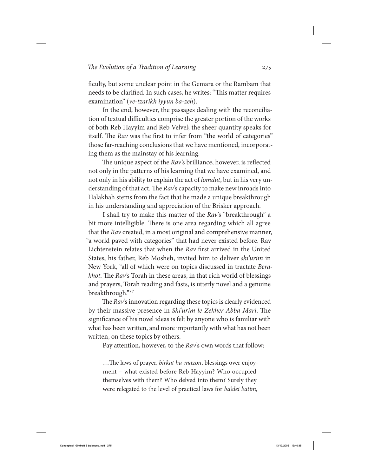ficulty, but some unclear point in the Gemara or the Rambam that needs to be clarified. In such cases, he writes: "This matter requires examination" (ve-tzarikh iyyun ba-zeh).

In the end, however, the passages dealing with the reconciliation of textual difficulties comprise the greater portion of the works of both Reb Hayyim and Reb Velvel; the sheer quantity speaks for itself. The Rav was the first to infer from "the world of categories" those far-reaching conclusions that we have mentioned, incorporating them as the mainstay of his learning.

The unique aspect of the Rav's brilliance, however, is reflected not only in the patterns of his learning that we have examined, and not only in his ability to explain the act of *lomdut*, but in his very understanding of that act. The Rav's capacity to make new inroads into Halakhah stems from the fact that he made a unique breakthrough in his understanding and appreciation of the Brisker approach.

I shall try to make this matter of the Rav's "breakthrough" a bit more intelligible. There is one area regarding which all agree that the Rav created, in a most original and comprehensive manner, "a world paved with categories" that had never existed before. Rav Lichtenstein relates that when the Rav first arrived in the United States, his father, Reb Mosheh, invited him to deliver shi'urim in New York, "all of which were on topics discussed in tractate Berakhot. The Rav's Torah in these areas, in that rich world of blessings and prayers, Torah reading and fasts, is utterly novel and a genuine breakthrough."77

The Rav's innovation regarding these topics is clearly evidenced by their massive presence in Shi'urim le-Zekher Abba Mari. The significance of his novel ideas is felt by anyone who is familiar with what has been written, and more importantly with what has not been written, on these topics by others.

Pay attention, however, to the Rav's own words that follow:

...The laws of prayer, *birkat ha-mazon*, blessings over enjoyment – what existed before Reb Hayyim? Who occupied themselves with them? Who delved into them? Surely they were relegated to the level of practical laws for *ba'alei batim*,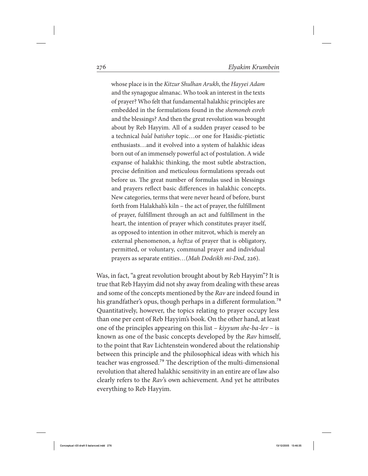whose place is in the Kitzur Shulhan Arukh, the Hayyei Adam and the synagogue almanac. Who took an interest in the texts of prayer? Who felt that fundamental halakhic principles are embedded in the formulations found in the shemoneh esreh and the blessings? And then the great revolution was brought about by Reb Hayyim. All of a sudden prayer ceased to be a technical ba'al batisher topic…or one for Hasidic-pietistic enthusiasts…and it evolved into a system of halakhic ideas born out of an immensely powerful act of postulation. A wide expanse of halakhic thinking, the most subtle abstraction, precise definition and meticulous formulations spreads out before us. The great number of formulas used in blessings and prayers reflect basic differences in halakhic concepts. New categories, terms that were never heard of before, burst forth from Halakhah's kiln – the act of prayer, the fulfillment of prayer, fulfillment through an act and fulfillment in the heart, the intention of prayer which constitutes prayer itself, as opposed to intention in other mitzvot, which is merely an external phenomenon, a *heftza* of prayer that is obligatory, permitted, or voluntary, communal prayer and individual prayers as separate entities…(Mah Dodeikh mi-Dod, 226).

Was, in fact, "a great revolution brought about by Reb Hayyim"? It is true that Reb Hayyim did not shy away from dealing with these areas and some of the concepts mentioned by the Rav are indeed found in his grandfather's opus, though perhaps in a different formulation.<sup>78</sup> Quantitatively, however, the topics relating to prayer occupy less than one per cent of Reb Hayyim's book. On the other hand, at least one of the principles appearing on this list –  $kiyyum$  she-ba-lev – is known as one of the basic concepts developed by the Rav himself, to the point that Rav Lichtenstein wondered about the relationship between this principle and the philosophical ideas with which his teacher was engrossed.79 The description of the multi-dimensional revolution that altered halakhic sensitivity in an entire are of law also clearly refers to the Rav's own achievement. And yet he attributes everything to Reb Hayyim.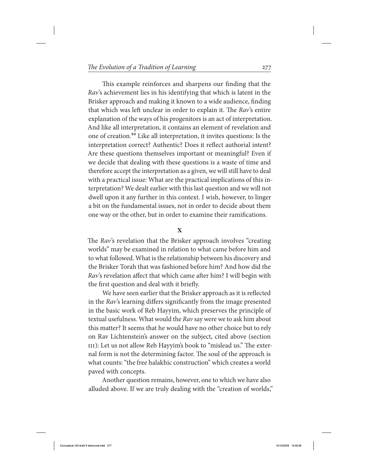This example reinforces and sharpens our finding that the Rav's achievement lies in his identifying that which is latent in the Brisker approach and making it known to a wide audience, finding that which was left unclear in order to explain it. The Rav's entire explanation of the ways of his progenitors is an act of interpretation. And like all interpretation, it contains an element of revelation and one of creation.80 Like all interpretation, it invites questions: Is the interpretation correct? Authentic? Does it reflect authorial intent? Are these questions themselves important or meaningful? Even if we decide that dealing with these questions is a waste of time and therefore accept the interpretation as a given, we will still have to deal with a practical issue: What are the practical implications of this interpretation? We dealt earlier with this last question and we will not dwell upon it any further in this context. I wish, however, to linger a bit on the fundamental issues, not in order to decide about them one way or the other, but in order to examine their ramifications.

## **X**

The Rav's revelation that the Brisker approach involves "creating worlds" may be examined in relation to what came before him and to what followed. What is the relationship between his discovery and the Brisker Torah that was fashioned before him? And how did the Rav's revelation affect that which came after him? I will begin with the first question and deal with it briefly.

We have seen earlier that the Brisker approach as it is reflected in the Rav's learning differs significantly from the image presented in the basic work of Reb Hayyim, which preserves the principle of textual usefulness. What would the Rav say were we to ask him about this matter? It seems that he would have no other choice but to rely on Rav Lichtenstein's answer on the subject, cited above (section III): Let us not allow Reb Hayyim's book to "mislead us." The external form is not the determining factor. The soul of the approach is what counts: "the free halakhic construction" which creates a world paved with concepts.

Another question remains, however, one to which we have also alluded above. If we are truly dealing with the "creation of worlds,"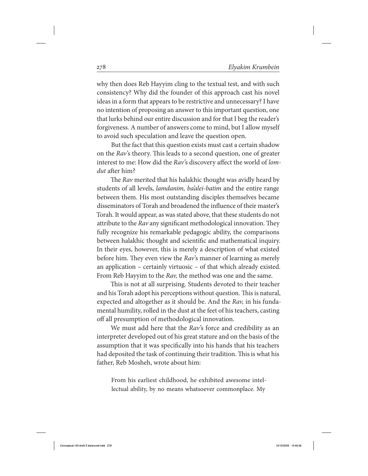why then does Reb Hayyim cling to the textual test, and with such consistency? Why did the founder of this approach cast his novel ideas in a form that appears to be restrictive and unnecessary? I have no intention of proposing an answer to this important question, one that lurks behind our entire discussion and for that I beg the reader's forgiveness. A number of answers come to mind, but I allow myself to avoid such speculation and leave the question open.

But the fact that this question exists must cast a certain shadow on the Rav's theory. This leads to a second question, one of greater interest to me: How did the Rav's discovery affect the world of *lom*dut after him?

The *Rav* merited that his halakhic thought was avidly heard by students of all levels, lamdanim, ba'alei-batim and the entire range between them. His most outstanding disciples themselves became disseminators of Torah and broadened the influence of their master's Torah. It would appear, as was stated above, that these students do not attribute to the Rav any significant methodological innovation. They fully recognize his remarkable pedagogic ability, the comparisons between halakhic thought and scientific and mathematical inquiry. In their eyes, however, this is merely a description of what existed before him. They even view the Rav's manner of learning as merely an application – certainly virtuosic – of that which already existed. From Reb Hayyim to the Rav, the method was one and the same.

This is not at all surprising. Students devoted to their teacher and his Torah adopt his perceptions without question. This is natural, expected and altogether as it should be. And the Rav, in his fundamental humility, rolled in the dust at the feet of his teachers, casting off all presumption of methodological innovation.

We must add here that the Rav's force and credibility as an interpreter developed out of his great stature and on the basis of the assumption that it was specifically into his hands that his teachers had deposited the task of continuing their tradition. This is what his father, Reb Mosheh, wrote about him:

From his earliest childhood, he exhibited awesome intellectual ability, by no means whatsoever commonplace. My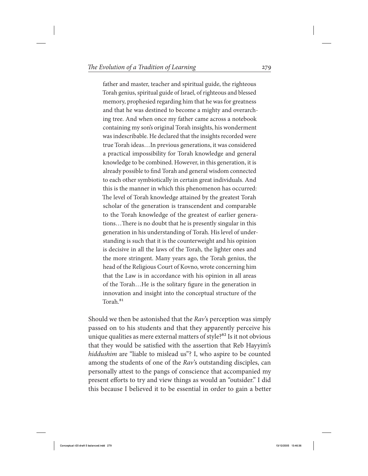father and master, teacher and spiritual guide, the righteous Torah genius, spiritual guide of Israel, of righteous and blessed memory, prophesied regarding him that he was for greatness and that he was destined to become a mighty and overarching tree. And when once my father came across a notebook containing my son's original Torah insights, his wonderment was indescribable. He declared that the insights recorded were true Torah ideas…In previous generations, it was considered a practical impossibility for Torah knowledge and general knowledge to be combined. However, in this generation, it is already possible to find Torah and general wisdom connected to each other symbiotically in certain great individuals. And this is the manner in which this phenomenon has occurred: The level of Torah knowledge attained by the greatest Torah scholar of the generation is transcendent and comparable to the Torah knowledge of the greatest of earlier generations…There is no doubt that he is presently singular in this generation in his understanding of Torah. His level of understanding is such that it is the counterweight and his opinion is decisive in all the laws of the Torah, the lighter ones and the more stringent. Many years ago, the Torah genius, the head of the Religious Court of Kovno, wrote concerning him that the Law is in accordance with his opinion in all areas of the Torah…He is the solitary figure in the generation in innovation and insight into the conceptual structure of the Torah<sup>81</sup>

Should we then be astonished that the Rav's perception was simply passed on to his students and that they apparently perceive his unique qualities as mere external matters of style?<sup>82</sup> Is it not obvious that they would be satisfied with the assertion that Reb Hayyim's hiddushim are "liable to mislead us"? I, who aspire to be counted among the students of one of the Rav's outstanding disciples, can personally attest to the pangs of conscience that accompanied my present efforts to try and view things as would an "outsider." I did this because I believed it to be essential in order to gain a better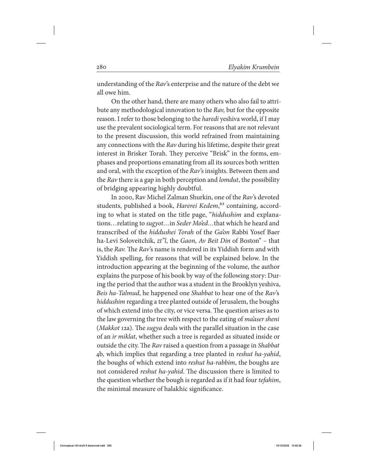understanding of the Rav's enterprise and the nature of the debt we all owe him.

On the other hand, there are many others who also fail to attribute any methodological innovation to the Rav, but for the opposite reason. I refer to those belonging to the haredi yeshiva world, if I may use the prevalent sociological term. For reasons that are not relevant to the present discussion, this world refrained from maintaining any connections with the Rav during his lifetime, despite their great interest in Brisker Torah. They perceive "Brisk" in the forms, emphases and proportions emanating from all its sources both written and oral, with the exception of the Rav's insights. Between them and the *Rav* there is a gap in both perception and *lomdut*, the possibility of bridging appearing highly doubtful.

In 2000, Rav Michel Zalman Shurkin, one of the Rav 's devoted students, published a book, Harerei Kedem,<sup>83</sup> containing, according to what is stated on the title page, "hiddushim and explanations... relating to *sugyot...* in Seder Mo'ed... that which he heard and transcribed of the hiddushei Torah of the Ga'on Rabbi Yosef Baer ha-Levi Soloveitchik, zt"l, the Gaon, Av Beit Din of Boston" – that is, the Rav. The Rav's name is rendered in its Yiddish form and with Yiddish spelling, for reasons that will be explained below. In the introduction appearing at the beginning of the volume, the author explains the purpose of his book by way of the following story: During the period that the author was a student in the Brooklyn yeshiva, Beis ha-Talmud, he happened one Shabbat to hear one of the Rav's hiddushim regarding a tree planted outside of Jerusalem, the boughs of which extend into the city, or vice versa. The question arises as to the law governing the tree with respect to the eating of ma'aser sheni (Makkot 12a). The sugya deals with the parallel situation in the case of an ir miklat, whether such a tree is regarded as situated inside or outside the city. The Rav raised a question from a passage in Shabbat 4b, which implies that regarding a tree planted in reshut ha-yahid, the boughs of which extend into *reshut ha-rabbim*, the boughs are not considered reshut ha-yahid. The discussion there is limited to the question whether the bough is regarded as if it had four *tefahim*, the minimal measure of halakhic significance.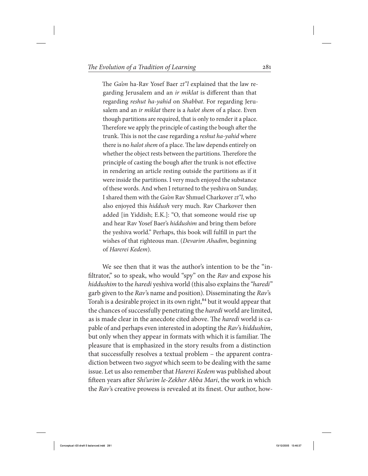The Ga'on ha-Rav Yosef Baer zt"l explained that the law regarding Jerusalem and an ir miklat is different than that regarding reshut ha-yahid on Shabbat. For regarding Jerusalem and an *ir miklat* there is a *halot shem* of a place. Even though partitions are required, that is only to render it a place. Therefore we apply the principle of casting the bough after the trunk. This is not the case regarding a reshut ha-yahid where there is no halot shem of a place. The law depends entirely on whether the object rests between the partitions. Therefore the principle of casting the bough after the trunk is not effective in rendering an article resting outside the partitions as if it were inside the partitions. I very much enjoyed the substance of these words. And when I returned to the yeshiva on Sunday, I shared them with the Ga'on Rav Shmuel Charkover zt"l, who also enjoyed this hiddush very much. Rav Charkover then added [in Yiddish; E.K.]: "O, that someone would rise up and hear Rav Yosef Baer's hiddushim and bring them before the yeshiva world." Perhaps, this book will fulfill in part the wishes of that righteous man. (Devarim Ahadim, beginning of Harerei Kedem).

We see then that it was the author's intention to be the "infiltrator," so to speak, who would "spy" on the Rav and expose his hiddushim to the haredi yeshiva world (this also explains the "haredi" garb given to the Rav's name and position). Disseminating the Rav's Torah is a desirable project in its own right,<sup>84</sup> but it would appear that the chances of successfully penetrating the haredi world are limited, as is made clear in the anecdote cited above. The haredi world is capable of and perhaps even interested in adopting the Rav's hiddushim, but only when they appear in formats with which it is familiar. The pleasure that is emphasized in the story results from a distinction that successfully resolves a textual problem – the apparent contradiction between two *sugyot* which seem to be dealing with the same issue. Let us also remember that Harerei Kedem was published about fifteen years after Shi'urim le-Zekher Abba Mari, the work in which the Rav's creative prowess is revealed at its finest. Our author, how-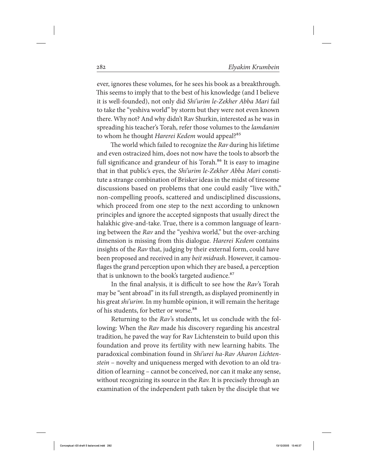ever, ignores these volumes, for he sees his book as a breakthrough. This seems to imply that to the best of his knowledge (and I believe it is well-founded), not only did Shi'urim le-Zekher Abba Mari fail to take the "yeshiva world" by storm but they were not even known there. Why not? And why didn't Rav Shurkin, interested as he was in spreading his teacher's Torah, refer those volumes to the lamdanim to whom he thought Harerei Kedem would appeal?<sup>85</sup>

The world which failed to recognize the Rav during his lifetime and even ostracized him, does not now have the tools to absorb the full significance and grandeur of his Torah.<sup>86</sup> It is easy to imagine that in that public's eyes, the Shi'urim le-Zekher Abba Mari constitute a strange combination of Brisker ideas in the midst of tiresome discussions based on problems that one could easily "live with," non-compelling proofs, scattered and undisciplined discussions, which proceed from one step to the next according to unknown principles and ignore the accepted signposts that usually direct the halakhic give-and-take. True, there is a common language of learning between the Rav and the "yeshiva world," but the over-arching dimension is missing from this dialogue. Harerei Kedem contains insights of the Rav that, judging by their external form, could have been proposed and received in any *beit midrash*. However, it camouflages the grand perception upon which they are based, a perception that is unknown to the book's targeted audience.<sup>87</sup>

In the final analysis, it is difficult to see how the Rav's Torah may be "sent abroad" in its full strength, as displayed prominently in his great shi'urim. In my humble opinion, it will remain the heritage of his students, for better or worse.<sup>88</sup>

Returning to the Rav's students, let us conclude with the following: When the Rav made his discovery regarding his ancestral tradition, he paved the way for Rav Lichtenstein to build upon this foundation and prove its fertility with new learning habits. The paradoxical combination found in Shi'urei ha-Rav Aharon Lichtenstein – novelty and uniqueness merged with devotion to an old tradition of learning – cannot be conceived, nor can it make any sense, without recognizing its source in the Rav. It is precisely through an examination of the independent path taken by the disciple that we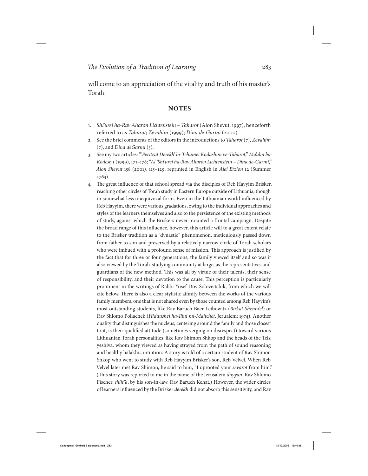will come to an appreciation of the vitality and truth of his master's Torah.

# **Notes**

- 1. Shi'urei ha-Rav Aharon Lichtenstein Taharot (Alon Shevut, 1997), henceforth referred to as Taharot; Zevahim (1999); Dina de-Garmi (2000).
- 2. See the brief comments of the editors in the introductions to Taharot  $(7)$ , Zevahim (7), and Dina deGarmi (5).
- 3. See my two articles: " 'Peritzat Derekh' bi-Tehumei Kodashim ve-Taharot," Ma'alin ba-Kodesh I (1999), 171–178; "Al 'Shi'urei ha-Rav Aharon Lichtenstein – Dina de-Garmi,'" Alon Shevut 158 (2001), 115–129, reprinted in English in Alei Etzion 12 (Summer 5763).
- 4. The great influence of that school spread via the disciples of Reb Hayyim Brisker, reaching other circles of Torah study in Eastern Europe outside of Lithuania, though in somewhat less unequivocal form. Even in the Lithuanian world influenced by Reb Hayyim, there were various gradations, owing to the individual approaches and styles of the learners themselves and also to the persistence of the existing methods of study, against which the Briskers never mounted a frontal campaign. Despite the broad range of this influence, however, this article will to a great extent relate to the Brisker tradition as a "dynastic" phenomenon, meticulously passed down from father to son and preserved by a relatively narrow circle of Torah scholars who were imbued with a profound sense of mission. This approach is justified by the fact that for three or four generations, the family viewed itself and so was it also viewed by the Torah-studying community at large, as the representatives and guardians of the new method. This was all by virtue of their talents, their sense of responsibility, and their devotion to the cause. This perception is particularly prominent in the writings of Rabbi Yosef Dov Soloveitchik, from which we will cite below. There is also a clear stylistic affinity between the works of the various family members, one that is not shared even by those counted among Reb Hayyim's most outstanding students, like Rav Baruch Baer Leibowitz (Birkat Shemu'el) or Rav Shlomo Poliachek (Hiddushei ha-Illui mi-Maitchet, Jerualem: 1974). Another quality that distinguishes the nucleus, centering around the family and those closest to it, is their qualified attitude (sometimes verging on disrespect) toward various Lithuanian Torah personalities, like Rav Shimon Shkop and the heads of the Telz yeshiva, whom they viewed as having strayed from the path of sound reasoning and healthy halakhic intuition. A story is told of a certain student of Rav Shimon Shkop who went to study with Reb Hayyim Brisker's son, Reb Velvel. When Reb Velvel later met Rav Shimon, he said to him, "I uprooted your sevarot from him." (This story was reported to me in the name of the Jerusalem dayyan, Rav Shlomo Fischer, shlit"a, by his son-in-law, Rav Baruch Kehat.) However, the wider circles of learners influenced by the Brisker derekh did not absorb this sensitivity, and Rav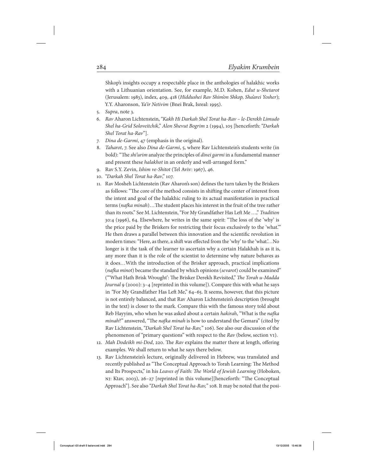Shkop's insights occupy a respectable place in the anthologies of halakhic works with a Lithuanian orientation. See, for example, M.D. Kohen, Edut u-Shetarot (Jerusalem: 1983), index, 409, 418 (Hiddushei Rav Shim'on Shkop, Sha'arei Yosher); Y.Y. Aharonson, Ya'ir Netivim (Bnei Brak, Isreal: 1995).

- 5. Supra, note 3.
- 6. Rav Aharon Lichtenstein, "Kakh Hi Darkah Shel Torat ha-Rav le-Derekh Limudo Shel ha-Grid Soloveitchik," Alon Shevut Bogrim 2 (1994), 105 [henceforth: "Darkah Shel Torat ha-Rav"].
- 7. Dina de-Garmi, 47 (emphasis in the original).
- 8. Taharot, 7. See also Dina de-Garmi, 5, where Rav Lichtenstein's students write (in bold): "The shi'urim analyze the principles of dinei garmi in a fundamental manner and present these halakhot in an orderly and well-arranged form."
- 9. Rav S.Y. Zevin, Ishim ve-Shitot (Tel Aviv: 1967), 46.
- 10. "Darkah Shel Torat ha-Rav," 107.
- 11. Rav Mosheh Lichtenstein (Rav Aharon's son) defines the turn taken by the Briskers as follows: "The core of the method consists in shifting the center of interest from the intent and goal of the halakhic ruling to its actual manifestation in practical terms (nafka minah)...The student places his interest in the fruit of the tree rather than its roots." See M. Lichtenstein, "For My Grandfather Has Left Me …," Tradition 30:4 (1996), 64. Elsewhere, he writes in the same spirit: "The loss of the 'why' is the price paid by the Briskers for restricting their focus exclusively to the 'what.'" He then draws a parallel between this innovation and the scientific revolution in modern times: "Here, as there, a shift was effected from the 'why' to the 'what.'…No longer is it the task of the learner to ascertain why a certain Halakhah is as it is, any more than it is the role of the scientist to determine why nature behaves as it does…With the introduction of the Brisker approach, practical implications (nafka minot) became the standard by which opinions (sevarot) could be examined" ("'What Hath Brisk Wrought': The Brisker Derekh Revisited," The Torah u-Madda Journal 9 (2000): 3–4 [reprinted in this volume]). Compare this with what he says in "For My Grandfather Has Left Me," 64–65. It seems, however, that this picture is not entirely balanced, and that Rav Aharon Lichtenstein's description (brought in the text) is closer to the mark. Compare this with the famous story told about Reb Hayyim, who when he was asked about a certain hakirah, "What is the nafka minah?" answered, "The nafka minah is how to understand the Gemara" (cited by Rav Lichtenstein, "Darkah Shel Torat ha-Rav," 106). See also our discussion of the phenomenon of "primary questions" with respect to the Rav (below, section VI).
- 12. Mah Dodeikh mi-Dod, 220. The Rav explains the matter there at length, offering examples. We shall return to what he says there below.
- 13. Rav Lichtenstein's lecture, originally delivered in Hebrew, was translated and recently published as "The Conceptual Approach to Torah Learning: The Method and Its Prospects," in his Leaves of Faith: The World of Jewish Learning (Hoboken, nj: Ktav, 2003), 26–27 [reprinted in this volume][henceforth: "The Conceptual Approach"]. See also "Darkah Shel Torat ha-Rav," 108. It may be noted that the posi-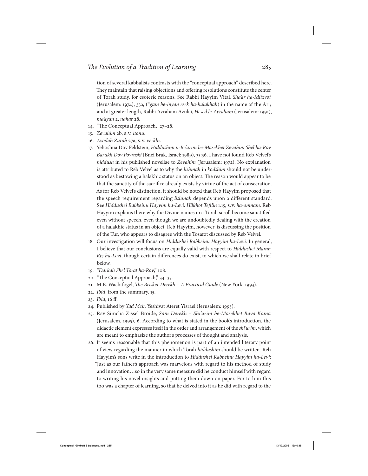tion of several kabbalists contrasts with the "conceptual approach" described here. They maintain that raising objections and offering resolutions constitute the center of Torah study, for esoteric reasons. See Rabbi Hayyim Vital, Sha'ar ha-Mitzvot (Jerusalem: 1974), 33a, ("gam be-inyan esek ha-halakhah) in the name of the Ari; and at greater length, Rabbi Avraham Azulai, Hesed le-Avraham (Jerusalem: 1991), ma'ayan 2, nahar 28.

- 14. "The Conceptual Approach," 27–28.
- 15. Zevahim 2b, s.v. itanu.
- 16. Avodah Zarah 27a, s.v. ve-khi.
- 17. Yehoshua Dov Feldstein, Hiddushim u-Be'urim be-Masekhet Zevahim Shel ha-Rav Barukh Dov Povraski (Bnei Brak, Israel: 1989), 35:36. I have not found Reb Velvel's hiddush in his published novellae to Zevahim (Jerusalem: 1972). No explanation is attributed to Reb Velvel as to why the *lishmah* in *kodshim* should not be understood as bestowing a halakhic status on an object. The reason would appear to be that the sanctity of the sacrifice already exists by virtue of the act of consecration. As for Reb Velvel's distinction, it should be noted that Reb Hayyim proposed that the speech requirement regarding lishmah depends upon a different standard. See Hiddushei Rabbeinu Hayyim ha-Levi, Hilkhot Tefilin 1:15, s.v. ha-omnam. Reb Hayyim explains there why the Divine names in a Torah scroll become sanctified even without speech, even though we are undoubtedly dealing with the creation of a halakhic status in an object. Reb Hayyim, however, is discussing the position of the Tur, who appears to disagree with the Tosafot discussed by Reb Velvel.
- 18. Our investigation will focus on Hiddushei Rabbeinu Hayyim ha-Levi. In general, I believe that our conclusions are equally valid with respect to Hiddushei Maran Riz ha-Levi, though certain differences do exist, to which we shall relate in brief below.
- 19. "Darkah Shel Torat ha-Rav," 108.
- 20. "The Conceptual Approach," 34–35.
- 21. M.E. Wachtfogel, The Brisker Derekh A Practical Guide (New York: 1993).
- 22. Ibid, from the summary, 15.
- 23. Ibid, 16 ff.
- 24. Published by Yad Meir, Yeshivat Ateret Yisrael (Jerusalem: 1995).
- 25. Rav Simcha Zissel Broide, Sam Derekh Shi'urim be-Masekhet Bava Kama (Jerusalem, 1995), 6. According to what is stated in the book's introduction, the didactic element expresses itself in the order and arrangement of the *shi'urim*, which are meant to emphasize the author's processes of thought and analysis.
- 26. It seems reasonable that this phenomenon is part of an intended literary point of view regarding the manner in which Torah hiddushim should be written. Reb Hayyim's sons write in the introduction to Hiddushei Rabbeinu Hayyim ha-Levi: "Just as our father's approach was marvelous with regard to his method of study and innovation…so in the very same measure did he conduct himself with regard to writing his novel insights and putting them down on paper. For to him this too was a chapter of learning, so that he delved into it as he did with regard to the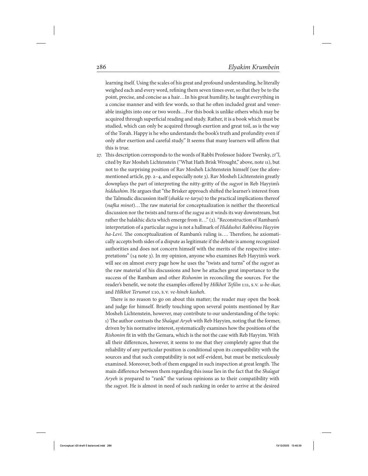learning itself. Using the scales of his great and profound understanding, he literally weighed each and every word, refining them seven times over, so that they be to the point, precise, and concise as a hair…In his great humility, he taught everything in a concise manner and with few words, so that he often included great and venerable insights into one or two words…For this book is unlike others which may be acquired through superficial reading and study. Rather, it is a book which must be studied, which can only be acquired through exertion and great toil, as is the way of the Torah. Happy is he who understands the book's truth and profundity even if only after exertion and careful study." It seems that many learners will affirm that this is true.

27. This description corresponds to the words of Rabbi Professor Isidore Twersky, zt"l, cited by Rav Mosheh Lichtenstein ("What Hath Brisk Wrought," above, note 11), but not to the surprising position of Rav Mosheh Lichtenstein himself (see the aforementioned article, pp. 2–4, and especially note 3). Rav Mosheh Lichtenstein greatly downplays the part of interpreting the nitty-gritty of the sugyot in Reb Hayyim's hiddushim. He argues that "the Brisker approach shifted the learner's interest from the Talmudic discussion itself (shakla ve-tarya) to the practical implications thereof (nafka minot)…The raw material for conceptualization is neither the theoretical discussion nor the twists and turns of the sugya as it winds its way downstream, but rather the halakhic dicta which emerge from it…" (2). "Reconstruction of Rambam's interpretation of a particular sugya is not a hallmark of Hiddushei Rabbeinu Hayyim ha-Levi. The conceptualization of Rambam's ruling is.... Therefore, he axiomatically accepts both sides of a dispute as legitimate if the debate is among recognized authorities and does not concern himself with the merits of the respective interpretations" (14 note 3). In my opinion, anyone who examines Reb Hayyim's work will see on almost every page how he uses the "twists and turns" of the *sugyot* as the raw material of his discussions and how he attaches great importance to the success of the Rambam and other Rishonim in reconciling the sources. For the reader's benefit, we note the examples offered by Hilkhot Tefilin 1:11, s.v. u-be-ikar, and Hilkhot Terumot 1:10, s.v. ve-hineh kasheh.

There is no reason to go on about this matter; the reader may open the book and judge for himself. Briefly touching upon several points mentioned by Rav Mosheh Lichtenstein, however, may contribute to our understanding of the topic: 1) The author contrasts the *Sha'agat Aryeh* with Reb Hayyim, noting that the former, driven by his normative interest, systematically examines how the positions of the Rishonim fit in with the Gemara, which is the not the case with Reb Hayyim. With all their differences, however, it seems to me that they completely agree that the reliability of any particular position is conditional upon its compatibility with the sources and that such compatibility is not self-evident, but must be meticulously examined. Moreover, both of them engaged in such inspection at great length. The main difference between them regarding this issue lies in the fact that the Sha'agat Aryeh is prepared to "rank" the various opinions as to their compatibility with the sugyot. He is almost in need of such ranking in order to arrive at the desired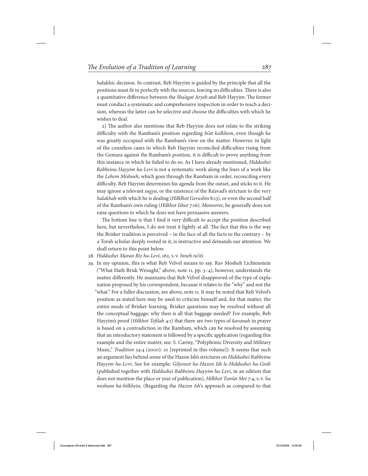halakhic decision. In contrast, Reb Hayyim is guided by the principle that all the positions must fit in perfectly with the sources, leaving no difficulties. There is also a quantitative difference between the Sha'agat Aryeh and Reb Hayyim: The former must conduct a systematic and comprehensive inspection in order to reach a decision, whereas the latter can be selective and choose the difficulties with which he wishes to deal.

2) The author also mentions that Reb Hayyim does not relate to the striking difficulty with the Rambam's position regarding bi'at kulkhem, even though he was greatly occupied with the Rambam's view on the matter. However, in light of the countless cases in which Reb Hayyim reconciled difficulties rising from the Gemara against the Rambam's position, it is difficult to prove anything from this instance in which he failed to do so. As I have already mentioned, Hiddushei Rabbeinu Hayyim ha-Levi is not a systematic work along the lines of a work like the Lehem Mishneh, which goes through the Rambam in order, reconciling every difficulty. Reb Hayyim determines his agenda from the outset, and sticks to it. He may ignore a relevant *sugya*, or the existence of the Ra'avad's stricture to the very halakhah with which he is dealing (Hilklhot Gerushin 8:13), or even the second half of the Rambam's own ruling (Hilkhot Ishut 7:16). Moreover, he generally does not raise questions to which he does not have persuasive answers.

The bottom line is that I find it very difficult to accept the position described here, but nevertheless, I do not treat it lightly at all. The fact that this is the way the Brisker tradition is perceived – in the face of all the facts to the contrary – by a Torah scholar deeply rooted in it, is instructive and demands our attention. We shall return to this point below.

- 28. Hiddushei Maran Riz ha-Levi, 162, s.v. hineh ra'iti.
- 29. In my opinion, this is what Reb Velvel means to say. Rav Mosheh Lichtenstein ("What Hath Brisk Wrought," above, note 11, pp. 3–4), however, understands the matter differently. He maintains that Reb Velvel disapproved of the type of explanation proposed by his correspondent, because it relates to the "why" and not the "what." For a fuller discussion, see above, note 11. It may be noted that Reb Velvel's position as stated here may be used to criticize himself and, for that matter, the entire mode of Brisker learning. Brisker questions may be resolved without all the conceptual baggage; why then is all that baggage needed? For example, Reb Hayyim's proof (Hilkhot Tefilah 4:1) that there are two types of kavanah in prayer is based on a contradiction in the Rambam, which can be resolved by assuming that an introductory statement is followed by a specific application (regarding this example and the entire matter, see: S. Carmy, "Polyphonic Diversity and Military Music," Tradition 34:4 (2000): 10 [reprinted in this volume]). It seems that such an argument lies behind some of the Hazon Ish's strictures on Hiddushei Rabbeinu Hayyim ha-Levi. See for example: Gilyonot ha-Hazon Ish le-Hiddushei ha-Grah (published together with Hiddushei Rabbeinu Hayyim ha-Levi, in an edition that does not mention the place or year of publication), Hilkhot Tum'at Met 7:4, s.v. hu mishum ha-hilkheta. (Regarding the Hazon Ish's approach as compared to that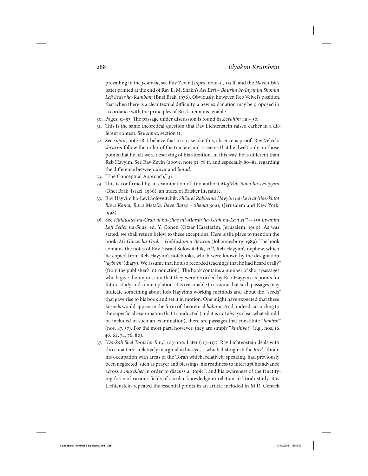prevailing in the yeshivot, see Rav Zevin [supra, note 9], 315 ff; and the Hazon Ish's letter printed at the end of Rav E. M. Shakh's Avi Ezri – Be'urim be-Inyanim Shonim Lefi Seder ha-Rambam (Bnei Brak: 1976). Obviously, however, Reb Velvel's position, that when there is a clear textual difficulty, a new explanation may be proposed in accordance with the principles of Brisk, remains tenable.

- 30. Pages 91–93. The passage under discussion is found in Zevahim 4a 5b.
- 31. This is the same theoretical question that Rav Lichtenstein raised earlier in a different context. See supra, section ii.
- 32. See supra, note 28. I believe that in a case like this, absence is proof. Rev Velvel's shi'urim follow the order of the tractate and it seems that he dwelt only on those points that he felt were deserving of his attention. In this way, he is different than Reb Hayyim. See Rav Zevin (above, note 9), 78 ff, and especially 80–81, regarding the difference between shi'ur and limud.
- 33. "The Conceptual Approach," 31.
- 34. This is confirmed by an examination of, (no author) Mafte'ah Batei ha-Leviyyim (Bnei Brak, Israel: 1986), an index of Brisker literature.
- 35. Rav Hayyim ha-Levi Soloveitchik, Shi'urei Rabbeinu Hayyim ha-Levi al Masekhtot Bava Kama, Bava Metzi'a, Bava Batra – Shenat 5641, (Jerusalem and New York: 1998).
- 36. See Hiddushei ha-Grah al ha-Shas mi-Maran ha-Grah ha-Levi zt"l 359 Inyanim Lefi Seder ha-Shas, ed. Y. Cohen (Otzar Hasefarim, Jerusalem: 1969). As was stated, we shall return below to these exceptions. Here is the place to mention the book, Mi-Ginzei ha-Grah – Hiddushim u-Be'urim (Johannesburg: 1989). The book contains the notes of Rav Yisrael Soloveitchik, zt"l, Reb Hayyim's nephew, which "he copied from Reb Hayyim's notebooks, which were known by the designation 'tagbuch' (diary). We assume that he also recorded teachings that he had heard orally" (from the publisher's introduction). The book contains a number of short passages which give the impression that they were recorded by Reb Hayyim as points for future study and contemplation. It is reasonable to assume that such passages may indicate something about Reb Hayyim's working methods and about the "seeds" that gave rise to his book and set it in motion. One might have expected that these kernels would appear in the form of theoretical hakirot. And, indeed, according to the superficial examination that I conducted (and it is not always clear what should be included in such an examination), there are passages that constitute "*hakirot*" (nos. 47, 57). For the most part, however, they are simply "kushiyot" (e.g., nos. 16, 46, 64, 74, 76, 80).
- 37. "Darkah Shel Torat ha-Rav," 105–106. Later (115–117), Rav Lichtenstein deals with three matters – relatively marginal in his eyes – which distinguish the  $Rav$ 's Torah: his occupation with areas of the Torah which, relatively speaking, had previously been neglected, such as prayer and blessings; his readiness to interrupt his advance across a masekhet in order to discuss a "topic"; and his awareness of the fructifying force of various fields of secular knowledge in relation to Torah study. Rav Lichtenstein repeated the essential points in an article included in M.D. Genack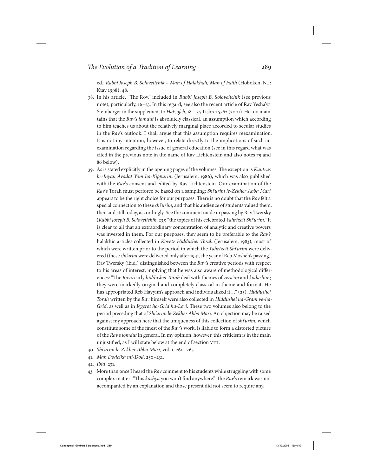ed., Rabbi Joseph B. Soloveitchik – Man of Halakhah, Man of Faith (Hoboken, N.J: Ktav 1998), 48.

- 38. In his article, "The Rov," included in Rabbi Joseph B. Soloveitchik (see previous note), particularly, 16–23. In this regard, see also the recent article of Rav Yesha'ya Steinberger in the supplement to Hatzofeh, 18 - 25 Tishrei 5762 (2001). He too maintains that the Rav's lomdut is absolutely classical, an assumption which according to him teaches us about the relatively marginal place accorded to secular studies in the Rav's outlook. I shall argue that this assumption requires reexamination. It is not my intention, however, to relate directly to the implications of such an examination regarding the issue of general education (see in this regard what was cited in the previous note in the name of Rav Lichtenstein and also notes 79 and 86 below).
- 39. As is stated explicitly in the opening pages of the volumes. The exception is Kuntrus be-Inyan Avodat Yom ha-Kippurim (Jerusalem, 1986), which was also published with the Rav's consent and edited by Rav Lichtenstein. Our examination of the Rav's Torah must perforce be based on a sampling; Shi'urim le-Zekher Abba Mari appears to be the right choice for our purposes. There is no doubt that the Rav felt a special connection to these shi'urim, and that his audience of students valued them, then and still today, accordingly. See the comment made in passing by Rav Twersky (Rabbi Joseph B. Soloveitchik, 23): "the topics of his celebrated Yahrtzeit Shi'urim." It is clear to all that an extraordinary concentration of analytic and creative powers was invested in them. For our purposes, they seem to be preferable to the Rav's halakhic articles collected in Kovetz Hiddushei Torah (Jerusalem, 1983), most of which were written prior to the period in which the Yahrtzeit Shi'urim were delivered (these shi'urim were delivered only after 1941, the year of Reb Mosheh's passing). Rav Twersky (ibid.) distinguished between the Rav's creative periods with respect to his areas of interest, implying that he was also aware of methodological differences: "The Rov's early hiddushei Torah deal with themes of zera'im and kodashim; they were markedly original and completely classical in theme and format. He has appropriated Reb Hayyim's approach and individualized it…" (23). Hiddushei Torah written by the Rav himself were also collected in Hiddushei ha-Gram ve-ha-Grid, as well as in Iggerot ha-Grid ha-Levi. These two volumes also belong to the period preceding that of Shi'urim le-Zekher Abba Mari. An objection may be raised against my approach here that the uniqueness of this collection of *shi'urim*, which constitute some of the finest of the Rav's work, is liable to form a distorted picture of the Rav's lomdut in general. In my opinion, however, this criticism is in the main unjustified, as I will state below at the end of section viii.
- 40. Shi'urim le-Zekher Abba Mari, vol. 1, 260–265.
- 41. Mah Dodeikh mi-Dod, 230–231.
- 42. Ibid, 231.
- 43. More than once I heard the Rav comment to his students while struggling with some complex matter: "This kashya you won't find anywhere." The Rav's remark was not accompanied by an explanation and those present did not seem to require any.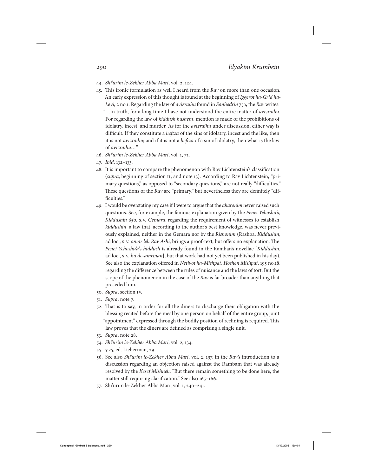- 44. Shi'urim le-Zekher Abba Mari, vol. 2, 124.
- 45. This ironic formulation as well I heard from the  $Rav$  on more than one occasion. An early expression of this thought is found at the beginning of Iggerot ha-Grid ha-Levi, 2 no.1. Regarding the law of avizraihu found in Sanhedrin 75a, the Rav writes: "...In truth, for a long time I have not understood the entire matter of *avizraihu*. For regarding the law of kiddush hashem, mention is made of the prohibitions of idolatry, incest, and murder. As for the *avizraihu* under discussion, either way is difficult: If they constitute a heftza of the sins of idolatry, incest and the like, then it is not *avizraihu*; and if it is not a *heftza* of a sin of idolatry, then what is the law of avizraihu…"
- 46. Shi'urim le-Zekher Abba Mari, vol. 1, 71.
- 47. Ibid, 132–133.
- 48. It is important to compare the phenomenon with Rav Lichtenstein's classification (supra, beginning of section II, and note 13). According to Rav Lichtenstein, "primary questions," as opposed to "secondary questions," are not really "difficulties." These questions of the Rav are "primary," but nevertheless they are definitely "difficulties."
- 49. I would be overstating my case if I were to argue that the aharonim never raised such questions. See, for example, the famous explanation given by the Penei Yehoshu'a, Kiddushin 65b, s.v. Gemara, regarding the requirement of witnesses to establish kiddushin, a law that, according to the author's best knowledge, was never previously explained, neither in the Gemara nor by the Rishonim (Rashba, Kiddushin, ad loc., s.v. amar leh Rav Ashi, brings a proof-text, but offers no explanation. The Penei Yehoshu'a's hiddush is already found in the Ramban's novellae [Kiddushin, ad loc., s.v. *ha de-amrinan*], but that work had not yet been published in his day). See also the explanation offered in Netivot ha-Mishpat, Hoshen Mishpat, 195 no.18, regarding the difference between the rules of nuisance and the laws of tort. But the scope of the phenomenon in the case of the Rav is far broader than anything that preceded him.
- 50. Supra, section iv.
- 51. Supra, note 7.
- 52. That is to say, in order for all the diners to discharge their obligation with the blessing recited before the meal by one person on behalf of the entire group, joint "appointment" expressed through the bodily position of reclining is required. This law proves that the diners are defined as comprising a single unit.
- 53. Supra, note 28.
- 54. Shi'urim le-Zekher Abba Mari, vol. 2, 134.
- 55. 5:25, ed. Lieberman, 29.
- 56. See also Shi'urim le-Zekher Abba Mari, vol. 2, 197, in the Rav's introduction to a discussion regarding an objection raised against the Rambam that was already resolved by the Kesef Mishneh: "But there remain something to be done here, the matter still requiring clarification." See also 165–166.
- 57. Shi'urim le-Zekher Abba Mari, vol. 1, 240–241.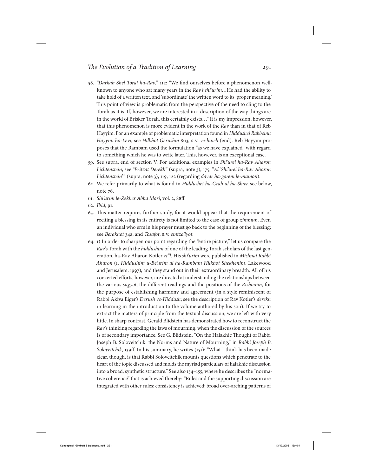- 58. "Darkah Shel Torat ha-Rav," 112: "We find ourselves before a phenomenon wellknown to anyone who sat many years in the Rav's shi'urim...He had the ability to take hold of a written text, and 'subordinate' the written word to its 'proper meaning.' This point of view is problematic from the perspective of the need to cling to the Torah as it is. If, however, we are interested in a description of the way things are in the world of Brisker Torah, this certainly exists…" It is my impression, however, that this phenomenon is more evident in the work of the Rav than in that of Reb Hayyim. For an example of problematic interpretation found in Hiddushei Rabbeinu Hayyim ha-Levi, see Hilkhot Gerushin 8:13, s.v. ve-hineh (end). Reb Hayyim proposes that the Rambam used the formulation "as we have explained" with regard to something which he was to write later. This, however, is an exceptional case.
- 59. See supra, end of section V. For additional examples in Shi'urei ha-Rav Aharon Lichtenstein, see "Pritzat Derekh" (supra, note 3), 175; "Al 'Shi'urei ha-Rav Aharon Lichtenstein'" (supra, note 3), 119, 122 (regarding davar ha-gorem le-mamon).
- 60. We refer primarily to what is found in Hiddushei ha-Grah al ha-Shas; see below, note 76.
- 61. Shi'urim le-Zekher Abba Mari, vol. 2, 88ff.
- 62. Ibid, 91.
- 63. This matter requires further study, for it would appear that the requirement of reciting a blessing in its entirety is not limited to the case of group zimmun. Even an individual who errs in his prayer must go back to the beginning of the blessing; see Berakhot 34a, and Tosafot, s.v. emtza'iyot.
- 64. 1) In order to sharpen our point regarding the "entire picture," let us compare the Rav's Torah with the *hiddushim* of one of the leading Torah scholars of the last generation, ha-Rav Aharon Kotler zt"l. His shi'urim were published in Mishnat Rabbi Aharon (i, Hiddushim u-Be'urim al ha-Rambam Hilkhot Shekhenim, Lakewood and Jerusalem, 1997), and they stand out in their extraordinary breadth. All of his concerted efforts, however, are directed at understanding the relationships between the various sugyot, the different readings and the positions of the Rishonim, for the purpose of establishing harmony and agreement (in a style reminiscent of Rabbi Akiva Eiger's Derush ve-Hiddush; see the description of Rav Kotler's derekh in learning in the introduction to the volume authored by his son). If we try to extract the matters of principle from the textual discussion, we are left with very little. In sharp contrast, Gerald Blidstein has demonstrated how to reconstruct the Rav's thinking regarding the laws of mourning, when the discussion of the sources is of secondary importance. See G. Blidstein, "On the Halakhic Thought of Rabbi Joseph B. Soloveitchik: the Norms and Nature of Mourning," in Rabbi Joseph B. Soloveitchik, 139ff. In his summary, he writes (151): "What I think has been made clear, though, is that Rabbi Soloveitchik mounts questions which penetrate to the heart of the topic discussed and molds the myriad particulars of halakhic discussion into a broad, synthetic structure." See also 154–155, where he describes the "normative coherence" that is achieved thereby: "Rules and the supporting discussion are integrated with other rules; consistency is achieved; broad over-arching patterns of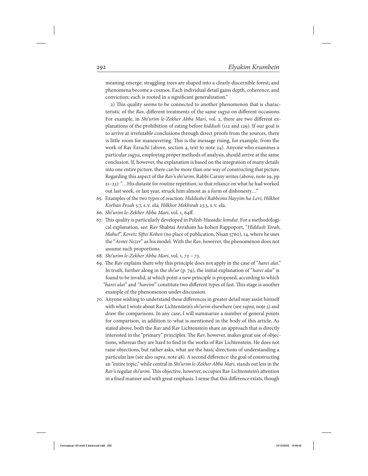meaning emerge; straggling trees are shaped into a clearly discernible forest; and phenomena become a cosmos. Each individual detail gains depth, coherence, and conviction; each is rooted in a significant generalization."

2) This quality seems to be connected to another phenomenon that is characteristic of the Rav, different treatments of the same sugya on different occasions. For example, in Shi'urim le-Zekher Abba Mari, vol. 2, there are two different explanations of the prohibition of eating before kiddush (112 and 129). If our goal is to arrive at irrefutable conclusions through direct proofs from the sources, there is little room for maneuvering. This is the message rising, for example, from the work of Rav Ezrachi (above, section 4, text to note 24). Anyone who examines a particular sugya, employing proper methods of analysis, should arrive at the same conclusion. If, however, the explanation is based on the integration of many details into one entire picture, there can be more than one way of constructing that picture. Regarding this aspect of the Rav's shi'urim, Rabbi Carmy writes (above, note 29, pp. 21–23): "…His distaste for routine repetition, so that reliance on what he had worked out last week, or last year, struck him almost as a form of dishonesty…"

- 65. Examples of the two types of reaction: Hiddushei Rabbeinu Hayyim ha-Levi, Hilkhot Korban Pesah 5:7, s.v. ela; Hilkhot Mekhirah 23:3, s.v. ela.
- 66. Shi'urim le-Zekher Abba Mari, vol. 1, 64ff.
- 67. This quality is particularly developed in Polish-Hassidic lomdut. For a methodological explanation, see: Rav Shabtai Avraham ha-kohen Rappoport, "Hiddush Torah, Mahu?", Kovetz Siftei Kohen (no place of publication, Nisan 5760), 14, where he uses the "Avnei Nezer" as his model. With the Rav, however, the phenomenon does not assume such proportions.
- 68. Shi'urim le-Zekher Abba Mari, vol. 1, 72 73.
- 69. The Rav explains there why this principle does not apply in the case of "harei alai." In truth, further along in the shi'ur (p. 79), the initial explanation of "harei alai" is found to be invalid, at which point a new principle is proposed, according to which "harei alai" and "hareini" constitute two different types of fast. This stage is another example of the phenomenon under discussion.
- 70. Anyone wishing to understand these differences in greater detail may assist himself with what I wrote about Rav Lichtenstein's shi'urim elsewhere (see supra, note 3) and draw the comparisons. In any case, I will summarize a number of general points for comparison, in addition to what is mentioned in the body of this article. As stated above, both the Rav and Rav Lichtenstein share an approach that is directly interested in the "primary" principles. The Rav, however, makes great use of objections, whereas they are hard to find in the works of Rav Lichtenstein. He does not raise objections, but rather asks, what are the basic directions of understanding a particular law (see also supra, note 48). A second difference: the goal of constructing an "entire topic," while central in Shi'urim le-Zekher Abba Mari, stands out less in the Rav's regular shi'urim. This objective, however, occupies Rav Lichtenstein's attention in a fixed manner and with great emphasis. I sense that this difference exists, though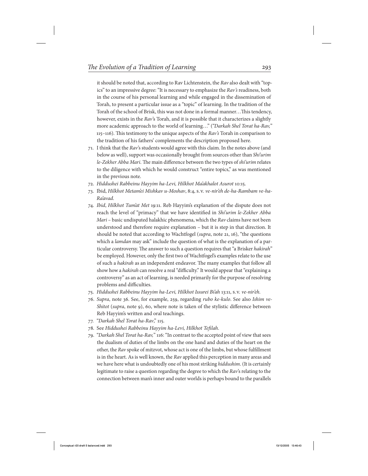it should be noted that, according to Rav Lichtenstein, the Rav also dealt with "topics" to an impressive degree: "It is necessary to emphasize the Rav's readiness, both in the course of his personal learning and while engaged in the dissemination of Torah, to present a particular issue as a "topic" of learning. In the tradition of the Torah of the school of Brisk, this was not done in a formal manner…This tendency, however, exists in the Rav's Torah, and it is possible that it characterizes a slightly more academic approach to the world of learning..." ("Darkah Shel Torat ha-Rav," 115–116). This testimony to the unique aspects of the  $Rav's$  Torah in comparison to the tradition of his fathers' complements the description proposed here.

- 71. I think that the  $Rav$ 's students would agree with this claim. In the notes above (and below as well), support was occasionally brought from sources other than Shi'urim le-Zekher Abba Mari. The main difference between the two types of shi'urim relates to the diligence with which he would construct "entire topics," as was mentioned in the previous note.
- 72. Hiddushei Rabbeinu Hayyim ha-Levi, Hilkhot Ma'akhalot Asurot 10:15.
- 73. Ibid, Hilkhot Metam'ei Mishkav u-Moshav, 8:4, s.v. ve-nir'eh de-ha-Rambam ve-ha-Ra'avad.
- 74. Ibid, Hilkhot Tum'at Met 19:11. Reb Hayyim's explanation of the dispute does not reach the level of "primacy" that we have identified in Shi'urim le-Zekher Abba Mari – basic undisputed halakhic phenomena, which the Rav claims have not been understood and therefore require explanation – but it is step in that direction. It should be noted that according to Wachtfogel (supra, note 21, 16), "the questions which a lamdan may ask" include the question of what is the explanation of a particular controversy. The answer to such a question requires that "a Brisker hakirah" be employed. However, only the first two of Wachtfogel's examples relate to the use of such a hakirah as an independent endeavor. The many examples that follow all show how a *hakirah* can resolve a real "difficulty." It would appear that "explaining a controversy" as an act of learning, is needed primarily for the purpose of resolving problems and difficulties.
- 75. Hiddushei Rabbeinu Hayyim ha-Levi, Hilkhot Issurei Bi'ah 13:11, s.v. ve-nir'eh.
- 76. Supra, note 36. See, for example, 259, regarding rubo ke-kulo. See also Ishim ve-Shitot (supra, note 9), 60, where note is taken of the stylistic difference between Reb Hayyim's written and oral teachings.
- 77. "Darkah Shel Torat ha-Rav," 115.
- 78. See Hiddushei Rabbeinu Hayyim ha-Levi, Hilkhot Tefilah.
- 79. "Darkah Shel Torat ha-Rav," 116: "In contrast to the accepted point of view that sees the dualism of duties of the limbs on the one hand and duties of the heart on the other, the Rav spoke of mitzvot, whose act is one of the limbs, but whose fulfillment is in the heart. As is well known, the Rav applied this perception in many areas and we have here what is undoubtedly one of his most striking hiddushim. (It is certainly legitimate to raise a question regarding the degree to which the Rav's relating to the connection between man's inner and outer worlds is perhaps bound to the parallels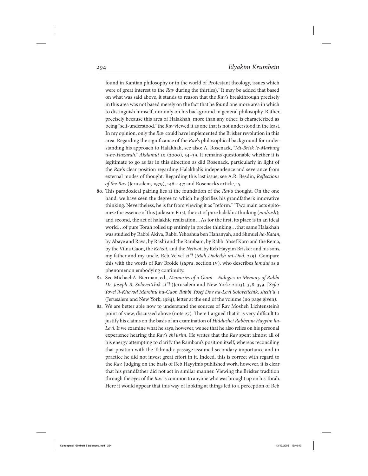found in Kantian philosophy or in the world of Protestant theology, issues which were of great interest to the Rav during the thirties)." It may be added that based on what was said above, it stands to reason that the Rav's breakthrough precisely in this area was not based merely on the fact that he found one more area in which to distinguish himself, nor only on his background in general philosophy. Rather, precisely because this area of Halakhah, more than any other, is characterized as being "self-understood," the Rav viewed it as one that is not understood in the least. In my opinion, only the Rav could have implemented the Brisker revolution in this area. Regarding the significance of the Rav's philosophical background for understanding his approach to Halakhah, see also: A. Rosenack, "Mi-Brisk le-Marburg u-be-Hazarah," Akdamut ix (2000), 34–39. It remains questionable whether it is legitimate to go as far in this direction as did Rosenack, particularly in light of the Rav's clear position regarding Halakhah's independence and severance from external modes of thought. Regarding this last issue, see A.R. Besdin, Reflections of the Rav (Jerusalem, 1979), 146–147; and Rosenack's article, 15.

- 80. This paradoxical pairing lies at the foundation of the  $Rav$ 's thought. On the one hand, we have seen the degree to which he glorifies his grandfather's innovative thinking. Nevertheless, he is far from viewing it as "reform." "Two main acts epitomize the essence of this Judaism: First, the act of pure halakhic thinking (*midrash*); and second, the act of halakhic realization…As for the first, its place is in an ideal world…of pure Torah rolled up entirely in precise thinking…that same Halakhah was studied by Rabbi Akiva, Rabbi Yehoshua ben Hananyah, and Shmuel ha-Katan, by Abaye and Rava, by Rashi and the Rambam, by Rabbi Yosef Karo and the Rema, by the Vilna Gaon, the Ketzot, and the Netivot, by Reb Hayyim Brisker and his sons, my father and my uncle, Reb Velvel zt"l (Mah Dodeikh mi-Dod, 229). Compare this with the words of Rav Broide (supra, section IV), who describes lomdut as a phenomenon embodying continuity.
- 81. See Michael A. Bierman, ed., Memories of a Giant Eulogies in Memory of Rabbi Dr. Joseph B. Soloveitchik zt"l (Jerusalem and New York: 2003), 358–359. [Sefer Yovel li-Khevod Moreinu ha-Gaon Rabbi Yosef Dov ha-Levi Soloveitchik, shelit"a, I (Jerusalem and New York, 1984), letter at the end of the volume (no page given).
- 82. We are better able now to understand the sources of Rav Mosheh Lichtenstein's point of view, discussed above (note 27). There I argued that it is very difficult to justify his claims on the basis of an examination of Hiddushei Rabbeinu Hayyim ha-Levi. If we examine what he says, however, we see that he also relies on his personal experience hearing the Rav's shi'urim. He writes that the Rav spent almost all of his energy attempting to clarify the Rambam's position itself, whereas reconciling that position with the Talmudic passage assumed secondary importance and in practice he did not invest great effort in it. Indeed, this is correct with regard to the Rav. Judging on the basis of Reb Hayyim's published work, however, it is clear that his grandfather did not act in similar manner. Viewing the Brisker tradition through the eyes of the Rav is common to anyone who was brought up on his Torah. Here it would appear that this way of looking at things led to a perception of Reb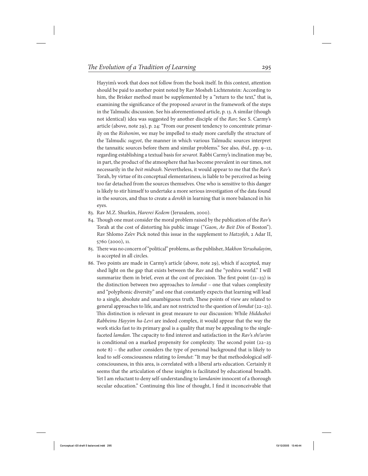Hayyim's work that does not follow from the book itself. In this context, attention should be paid to another point noted by Rav Mosheh Lichtenstein: According to him, the Brisker method must be supplemented by a "return to the text," that is, examining the significance of the proposed sevarot in the framework of the steps in the Talmudic discussion. See his aforementioned article, p. 13. A similar (though not identical) idea was suggested by another disciple of the Rav; See S. Carmy's article (above, note 29), p. 24: "From our present tendency to concentrate primarily on the Rishonim, we may be impelled to study more carefully the structure of the Talmudic sugyot, the manner in which various Talmudic sources interpret the tannaitic sources before them and similar problems." See also, ibid., pp. 9–12, regarding establishing a textual basis for sevarot. Rabbi Carmy's inclination may be, in part, the product of the atmosphere that has become prevalent in our times, not necessarily in the beit midrash. Nevertheless, it would appear to me that the Rav's Torah, by virtue of its conceptual elementariness, is liable to be perceived as being too far detached from the sources themselves. One who is sensitive to this danger is likely to stir himself to undertake a more serious investigation of the data found in the sources, and thus to create a derekh in learning that is more balanced in his eyes.

- 83. Rav M.Z. Shurkin, Harerei Kedem (Jerusalem, 2000).
- 84. Though one must consider the moral problem raised by the publication of the Rav's Torah at the cost of distorting his public image ("Gaon, Av Beit Din of Boston"). Rav Shlomo Ze'ev Pick noted this issue in the supplement to Hatzofeh, 2 Adar II, 5760 (2000), 11.
- 85. There was no concern of "political" problems, as the publisher, Makhon Yerushalayim, is accepted in all circles.
- 86. Two points are made in Carmy's article (above, note 29), which if accepted, may shed light on the gap that exists between the Rav and the "yeshiva world." I will summarize them in brief, even at the cost of precision. The first point  $(21-23)$  is the distinction between two approaches to *lomdut* – one that values complexity and "polyphonic diversity" and one that constantly expects that learning will lead to a single, absolute and unambiguous truth. These points of view are related to general approaches to life, and are not restricted to the question of lomdut (22–23). This distinction is relevant in great measure to our discussion: While Hiddushei Rabbeinu Hayyim ha-Levi are indeed complex, it would appear that the way the work sticks fast to its primary goal is a quality that may be appealing to the singlefaceted lamdan. The capacity to find interest and satisfaction in the Rav's shi'urim is conditional on a marked propensity for complexity. The second point (22–23 note 8) – the author considers the type of personal background that is likely to lead to self-consciousness relating to lomdut: "It may be that methodological selfconsciousness, in this area, is correlated with a liberal arts education. Certainly it seems that the articulation of these insights is facilitated by educational breadth. Yet I am reluctant to deny self-understanding to *lamdanim* innocent of a thorough secular education." Continuing this line of thought, I find it inconceivable that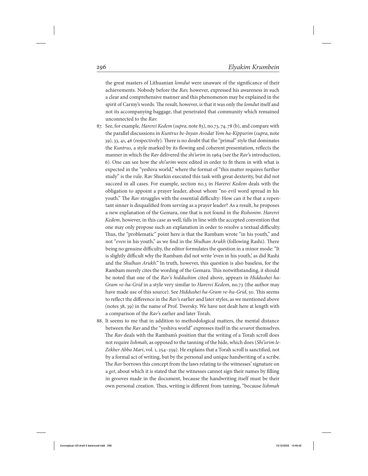the great masters of Lithuanian lomdut were unaware of the significance of their achievements. Nobody before the Rav, however, expressed his awareness in such a clear and comprehensive manner and this phenomenon may be explained in the spirit of Carmy's words. The result, however, is that it was only the *lomdut* itself and not its accompanying baggage, that penetrated that community which remained unconnected to the Rav.

- 87. See, for example, Harerei Kedem (supra, note 83), no.73, 74, 78 (b), and compare with the parallel discussions in Kuntrus be-Inyan Avodat Yom ha-Kippurim (supra, note 39), 33, 41, 46 (respectively). There is no doubt that the "primal" style that dominates the Kuntrus, a style marked by its flowing and coherent presentation, reflects the manner in which the Rav delivered the *shi'urim* in 1964 (see the Rav's introduction, 6). One can see how the shi'urim were edited in order to fit them in with what is expected in the "yeshiva world," where the format of "this matter requires further study" is the rule. Rav Shurkin executed this task with great dexterity, but did not succeed in all cases. For example, section no.3 in Harerei Kedem deals with the obligation to appoint a prayer leader, about whom "no evil word spread in his youth." The Rav struggles with the essential difficulty: How can it be that a repentant sinner is disqualified from serving as a prayer leader? As a result, he proposes a new explanation of the Gemara, one that is not found in the Rishonim. Harerei Kedem, however, in this case as well, falls in line with the accepted convention that one may only propose such an explanation in order to resolve a textual difficulty. Thus, the "problematic" point here is that the Rambam wrote "in his youth," and not "even in his youth," as we find in the Shulhan Arukh (following Rashi). There being no genuine difficulty, the editor formulates the question in a minor mode: "It is slightly difficult why the Rambam did not write 'even in his youth', as did Rashi and the Shulhan Arukh." In truth, however, this question is also baseless, for the Rambam merely cites the wording of the Gemara. This notwithstanding, it should be noted that one of the Rav's hiddushim cited above, appears in Hiddushei ha-Gram ve-ha-Grid in a style very similar to Harerei Kedem, no.73 (the author may have made use of this source). See Hiddushei ha-Gram ve-ha-Grid, 50. This seems to reflect the difference in the Rav's earlier and later styles, as we mentioned above (notes 38, 39) in the name of Prof. Twersky. We have not dealt here at length with a comparison of the Rav's earlier and later Torah.
- 88. It seems to me that in addition to methodological matters, the mental distance between the Rav and the "yeshiva world" expresses itself in the sevarot themselves. The Rav deals with the Rambam's position that the writing of a Torah scroll does not require *lishmah*, as opposed to the tanning of the hide, which does (Shi'urim le-Zekher Abba Mari, vol. 1, 254–259). He explains that a Torah scroll is sanctified, not by a formal act of writing, but by the personal and unique handwriting of a scribe. The Rav borrows this concept from the laws relating to the witnesses' signature on a get, about which it is stated that the witnesses cannot sign their names by filling in grooves made in the document, because the handwriting itself must be their own personal creation. Thus, writing is different from tanning, "because lishmah